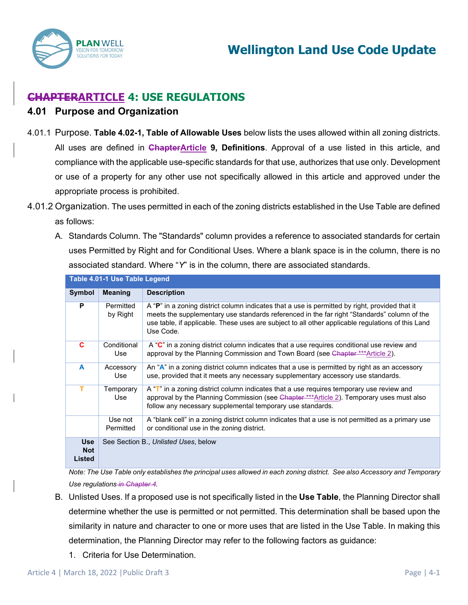

# **CHAPTERARTICLE 4: USE REGULATIONS**

### **4.01 Purpose and Organization**

- 4.01.1 Purpose. **Table 4.02-1, Table of Allowable Uses** below lists the uses allowed within all zoning districts. All uses are defined in **ChapterArticle 9, Definitions**. Approval of a use listed in this article, and compliance with the applicable use-specific standards for that use, authorizes that use only. Development or use of a property for any other use not specifically allowed in this article and approved under the appropriate process is prohibited.
- 4.01.2 Organization. The uses permitted in each of the zoning districts established in the Use Table are defined as follows:
	- A. Standards Column. The "Standards" column provides a reference to associated standards for certain uses Permitted by Right and for Conditional Uses. Where a blank space is in the column, there is no associated standard. Where "*Y*" is in the column, there are associated standards.

|                                    | Table 4.01-1 Use Table Legend |                                                                                                                                                                                                                                                                                                                 |
|------------------------------------|-------------------------------|-----------------------------------------------------------------------------------------------------------------------------------------------------------------------------------------------------------------------------------------------------------------------------------------------------------------|
| <b>Symbol</b>                      | <b>Meaning</b>                | <b>Description</b>                                                                                                                                                                                                                                                                                              |
| P                                  | Permitted<br>by Right         | A "P" in a zoning district column indicates that a use is permitted by right, provided that it<br>meets the supplementary use standards referenced in the far right "Standards" column of the<br>use table, if applicable. These uses are subject to all other applicable regulations of this Land<br>Use Code. |
| C                                  | Conditional<br>Use            | A "C" in a zoning district column indicates that a use requires conditional use review and<br>approval by the Planning Commission and Town Board (see Chapter *** Article 2).                                                                                                                                   |
| A                                  | Accessory<br>Use              | An "A" in a zoning district column indicates that a use is permitted by right as an accessory<br>use, provided that it meets any necessary supplementary accessory use standards.                                                                                                                               |
| т                                  | Temporary<br>Use              | A "T" in a zoning district column indicates that a use requires temporary use review and<br>approval by the Planning Commission (see Chapter *** Article 2). Temporary uses must also<br>follow any necessary supplemental temporary use standards.                                                             |
|                                    | Use not<br>Permitted          | A "blank cell" in a zoning district column indicates that a use is not permitted as a primary use<br>or conditional use in the zoning district.                                                                                                                                                                 |
| <b>Use</b><br><b>Not</b><br>Listed |                               | See Section B., Unlisted Uses, below                                                                                                                                                                                                                                                                            |

*Note: The Use Table only establishes the principal uses allowed in each zoning district. See also Accessory and Temporary Use regulations in Chapter 4.*

- B. Unlisted Uses. If a proposed use is not specifically listed in the **Use Table**, the Planning Director shall determine whether the use is permitted or not permitted. This determination shall be based upon the similarity in nature and character to one or more uses that are listed in the Use Table. In making this determination, the Planning Director may refer to the following factors as guidance:
	- 1. Criteria for Use Determination.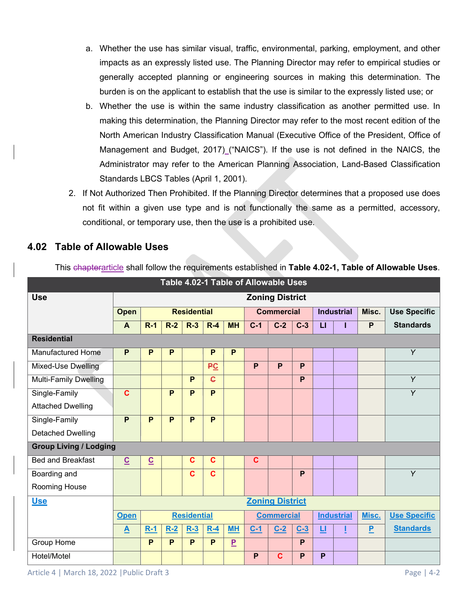- a. Whether the use has similar visual, traffic, environmental, parking, employment, and other impacts as an expressly listed use. The Planning Director may refer to empirical studies or generally accepted planning or engineering sources in making this determination. The burden is on the applicant to establish that the use is similar to the expressly listed use; or
- b. Whether the use is within the same industry classification as another permitted use. In making this determination, the Planning Director may refer to the most recent edition of the North American Industry Classification Manual (Executive Office of the President, Office of Management and Budget, 2017) ("NAICS"). If the use is not defined in the NAICS, the Administrator may refer to the American Planning Association, Land-Based Classification Standards LBCS Tables (April 1, 2001).
- 2. If Not Authorized Then Prohibited. If the Planning Director determines that a proposed use does not fit within a given use type and is not functionally the same as a permitted, accessory, conditional, or temporary use, then the use is a prohibited use.

# **4.02 Table of Allowable Uses**

| Table 4.02-1 Table of Allowable Uses |                          |                          |                    |             |             |                   |                   |                        |                   |    |       |                     |                  |
|--------------------------------------|--------------------------|--------------------------|--------------------|-------------|-------------|-------------------|-------------------|------------------------|-------------------|----|-------|---------------------|------------------|
| <b>Use</b>                           |                          | <b>Zoning District</b>   |                    |             |             |                   |                   |                        |                   |    |       |                     |                  |
|                                      | <b>Open</b>              |                          | <b>Residential</b> |             |             | <b>Commercial</b> |                   |                        | <b>Industrial</b> |    | Misc. | <b>Use Specific</b> |                  |
|                                      | $\overline{\mathbf{A}}$  | $R-1$                    | $R-2$              | $R-3$       | $R-4$       | <b>MH</b>         | $C-1$             | $C-2$                  | $C-3$             | L1 |       | P                   | <b>Standards</b> |
| <b>Residential</b>                   |                          |                          |                    |             |             |                   |                   |                        |                   |    |       |                     |                  |
| <b>Manufactured Home</b>             | P                        | P                        | P                  |             | P           | P                 |                   |                        |                   |    |       |                     | Y                |
| Mixed-Use Dwelling                   |                          |                          |                    |             | <b>PC</b>   |                   | P                 | P                      | P                 |    |       |                     |                  |
| <b>Multi-Family Dwelling</b>         |                          |                          |                    | P           | <b>C</b>    |                   |                   |                        | P                 |    |       |                     | Y                |
| Single-Family                        | $\mathbf c$              |                          | P                  | P           | P           |                   |                   |                        |                   |    |       |                     | Y                |
| <b>Attached Dwelling</b>             |                          |                          |                    |             |             |                   |                   |                        |                   |    |       |                     |                  |
| Single-Family                        | P                        | P                        | P                  | P           | P           |                   |                   |                        |                   |    |       |                     |                  |
| <b>Detached Dwelling</b>             |                          |                          |                    |             |             |                   |                   |                        |                   |    |       |                     |                  |
| <b>Group Living / Lodging</b>        |                          |                          |                    |             |             |                   |                   |                        |                   |    |       |                     |                  |
| <b>Bed and Breakfast</b>             | $\underline{\mathbf{C}}$ | $\underline{\mathbf{C}}$ |                    | $\mathbf c$ | $\mathbf c$ |                   | $\mathbf c$       |                        |                   |    |       |                     |                  |
| Boarding and                         |                          |                          |                    | $\mathbf c$ | Ć           |                   |                   |                        | P                 |    |       |                     | Y                |
| Rooming House                        |                          |                          |                    |             |             |                   |                   |                        |                   |    |       |                     |                  |
| <b>Use</b>                           |                          |                          |                    |             |             |                   |                   | <b>Zoning District</b> |                   |    |       |                     |                  |
|                                      | <b>Open</b>              | <b>Residential</b>       |                    |             |             |                   | <b>Commercial</b> |                        | <b>Industrial</b> |    | Misc. | <b>Use Specific</b> |                  |
|                                      | $\mathbf{A}$             | $R-1$                    | $R-2$              | $R-3$       | $R-4$       | <b>MH</b>         | $C-1$             | $C-2$                  | $C-3$             | ц  |       | P                   | <b>Standards</b> |
| Group Home                           |                          | $\overline{P}$           | P                  | P           | P           | $\overline{P}$    |                   |                        | P                 |    |       |                     |                  |
| Hotel/Motel                          |                          |                          |                    |             |             |                   | P                 | C                      | P                 | P  |       |                     |                  |

This chapterarticle shall follow the requirements established in **Table 4.02-1, Table of Allowable Uses**.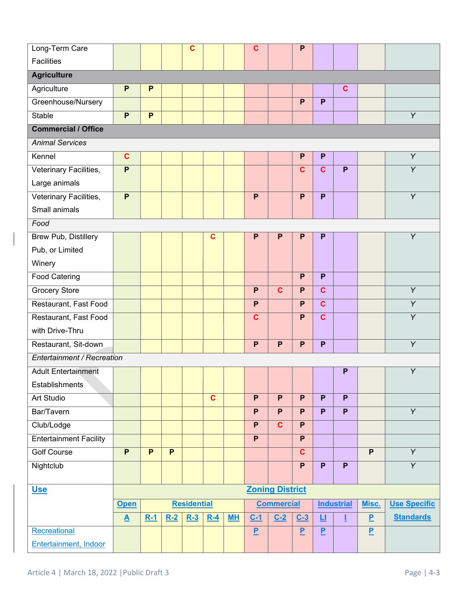| Long-Term Care                |                                   |                |                | $\mathbf c$ |              |    | $\mathbf c$       |                        | P                       |                         |                |                     |                  |
|-------------------------------|-----------------------------------|----------------|----------------|-------------|--------------|----|-------------------|------------------------|-------------------------|-------------------------|----------------|---------------------|------------------|
| <b>Facilities</b>             |                                   |                |                |             |              |    |                   |                        |                         |                         |                |                     |                  |
| <b>Agriculture</b>            |                                   |                |                |             |              |    |                   |                        |                         |                         |                |                     |                  |
| Agriculture                   | P                                 | P              |                |             |              |    |                   |                        |                         |                         | $\mathbf c$    |                     |                  |
| Greenhouse/Nursery            |                                   |                |                |             |              |    |                   |                        | P                       | P                       |                |                     |                  |
| Stable                        | $\mathsf{P}$                      | P              |                |             |              |    |                   |                        |                         |                         |                |                     | Y                |
| <b>Commercial / Office</b>    |                                   |                |                |             |              |    |                   |                        |                         |                         |                |                     |                  |
| <b>Animal Services</b>        |                                   |                |                |             |              |    |                   |                        |                         |                         |                |                     |                  |
| Kennel                        | $\mathbf{C}$                      |                |                |             |              |    |                   |                        | $\mathsf{P}$            | P                       |                |                     | $\overline{Y}$   |
| Veterinary Facilities,        | $\overline{P}$                    |                |                |             |              |    |                   |                        | $\mathbf{C}$            | $\overline{\mathbf{c}}$ | $\overline{P}$ |                     | $\overline{Y}$   |
| Large animals                 |                                   |                |                |             |              |    |                   |                        |                         |                         |                |                     |                  |
| Veterinary Facilities,        | P                                 |                |                |             |              |    | P                 |                        | P                       | P                       |                |                     | Y                |
| Small animals                 |                                   |                |                |             |              |    |                   |                        |                         |                         |                |                     |                  |
| Food                          |                                   |                |                |             |              |    |                   |                        |                         |                         |                |                     |                  |
| <b>Brew Pub, Distillery</b>   |                                   |                |                |             | $\mathbf c$  |    | $\overline{P}$    | $\mathsf{P}$           | P                       | P                       |                |                     | $\overline{Y}$   |
| Pub, or Limited               |                                   |                |                |             |              |    |                   |                        |                         |                         |                |                     |                  |
| Winery                        |                                   |                |                |             |              |    |                   |                        |                         |                         |                |                     |                  |
| <b>Food Catering</b>          |                                   |                |                |             |              |    |                   |                        | P                       | P                       |                |                     |                  |
| <b>Grocery Store</b>          |                                   |                |                |             |              |    | P                 | $\mathbf{C}$           | P                       | $\mathbf c$             |                |                     | Y                |
| Restaurant, Fast Food         |                                   |                |                |             |              |    | P                 |                        | P                       | $\mathbf c$             |                |                     | Y                |
| Restaurant, Fast Food         |                                   |                |                |             |              |    | $\mathbf c$       |                        | P                       | $\mathbf c$             |                |                     | Y                |
| with Drive-Thru               |                                   |                |                |             |              |    |                   |                        |                         |                         |                |                     |                  |
| Restaurant, Sit-down          |                                   |                |                |             |              |    | P                 | P                      | P                       | P                       |                |                     | $\overline{Y}$   |
| Entertainment / Recreation    |                                   |                |                |             |              |    |                   |                        |                         |                         |                |                     |                  |
| <b>Adult Entertainment</b>    |                                   |                |                |             |              |    |                   |                        |                         |                         | P              |                     | Y                |
| Establishments                |                                   |                |                |             |              |    |                   |                        |                         |                         |                |                     |                  |
| Art Studio                    |                                   |                |                |             | $\mathbf{C}$ |    | P                 | $\overline{P}$         | P                       | P                       | P              |                     |                  |
| Bar/Tavern                    |                                   |                |                |             |              |    | P                 | P                      | P                       | P                       | P              |                     | $\overline{Y}$   |
| Club/Lodge                    |                                   |                |                |             |              |    | $\overline{P}$    | $\overline{c}$         | $\overline{P}$          |                         |                |                     |                  |
| <b>Entertainment Facility</b> |                                   |                |                |             |              |    | $\overline{P}$    |                        | $\overline{P}$          |                         |                |                     |                  |
| <b>Golf Course</b>            | $\overline{P}$                    | $\overline{P}$ | $\overline{P}$ |             |              |    |                   |                        | $\overline{\mathbf{c}}$ |                         |                | $\overline{P}$      | $\overline{Y}$   |
| Nightclub                     |                                   |                |                |             |              |    |                   |                        | P                       | P                       | P              |                     | $\overline{Y}$   |
|                               |                                   |                |                |             |              |    |                   |                        |                         |                         |                |                     |                  |
| <b>Use</b>                    |                                   |                |                |             |              |    |                   | <b>Zoning District</b> |                         |                         |                |                     |                  |
|                               | <b>Residential</b><br><b>Open</b> |                |                |             |              |    | <b>Commercial</b> |                        |                         | <b>Industrial</b>       | Misc.          | <b>Use Specific</b> |                  |
|                               | $\underline{\mathbf{A}}$          | $R-1$          | $R-2$          | $R-3$       | $R-4$        | MH | $C-1$             | $C-2$                  | $C-3$                   | 브                       | Ţ              | $\overline{P}$      | <b>Standards</b> |
| Recreational                  |                                   |                |                |             |              |    | $\overline{P}$    |                        | P                       | P                       |                | $\overline{P}$      |                  |
| <b>Entertainment, Indoor</b>  |                                   |                |                |             |              |    |                   |                        |                         |                         |                |                     |                  |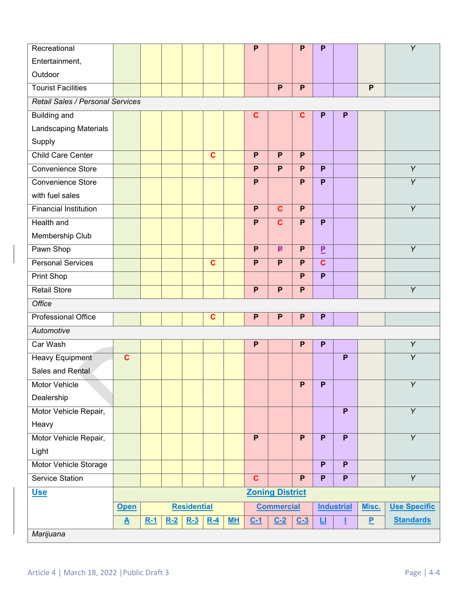| Recreational                     |                          |       |       |                    |             |    | P              |                        | P                         | P                          |                |                           | Y                   |
|----------------------------------|--------------------------|-------|-------|--------------------|-------------|----|----------------|------------------------|---------------------------|----------------------------|----------------|---------------------------|---------------------|
| Entertainment,                   |                          |       |       |                    |             |    |                |                        |                           |                            |                |                           |                     |
| Outdoor                          |                          |       |       |                    |             |    |                |                        |                           |                            |                |                           |                     |
| <b>Tourist Facilities</b>        |                          |       |       |                    |             |    |                | P                      | P                         |                            |                | $\boldsymbol{\mathsf{P}}$ |                     |
| Retail Sales / Personal Services |                          |       |       |                    |             |    |                |                        |                           |                            |                |                           |                     |
| <b>Building and</b>              |                          |       |       |                    |             |    | $\mathbf c$    |                        | $\mathbf c$               | P                          | P              |                           |                     |
| <b>Landscaping Materials</b>     |                          |       |       |                    |             |    |                |                        |                           |                            |                |                           |                     |
| Supply                           |                          |       |       |                    |             |    |                |                        |                           |                            |                |                           |                     |
| <b>Child Care Center</b>         |                          |       |       |                    | $\mathbf c$ |    | P              | P                      | P                         |                            |                |                           |                     |
| Convenience Store                |                          |       |       |                    |             |    | P              | P                      | P                         | P                          |                |                           | $\overline{Y}$      |
| Convenience Store                |                          |       |       |                    |             |    | $\mathsf{P}$   |                        | $\mathsf{P}$              | P                          |                |                           | $\overline{Y}$      |
| with fuel sales                  |                          |       |       |                    |             |    |                |                        |                           |                            |                |                           |                     |
| <b>Financial Institution</b>     |                          |       |       |                    |             |    | $\mathsf{P}$   | $\mathbf{C}$           | P                         |                            |                |                           | $\overline{Y}$      |
| <b>Health and</b>                |                          |       |       |                    |             |    | P              | $\mathbf c$            | $\mathsf{P}$              | P                          |                |                           |                     |
| Membership Club                  |                          |       |       |                    |             |    |                |                        |                           |                            |                |                           |                     |
| Pawn Shop                        |                          |       |       |                    |             |    | $\mathsf{P}$   | P                      | $\mathsf{P}$              | $\mathbf{P}$               |                |                           | Y                   |
| Personal Services                |                          |       |       |                    | $\mathbf c$ |    | P              | P                      | P                         | $\mathbf c$                |                |                           |                     |
| Print Shop                       |                          |       |       |                    |             |    |                |                        | P                         | P                          |                |                           |                     |
| <b>Retail Store</b>              |                          |       |       |                    |             |    | P              | P                      | $\mathsf{P}$              |                            |                |                           | $\overline{Y}$      |
| <b>Office</b>                    |                          |       |       |                    |             |    |                |                        |                           |                            |                |                           |                     |
| <b>Professional Office</b>       |                          |       |       |                    | $\mathbf c$ |    | P              | P                      | P                         | $\boldsymbol{\mathsf{P}}$  |                |                           |                     |
| Automotive                       |                          |       |       |                    |             |    |                |                        |                           |                            |                |                           |                     |
| Car Wash                         |                          |       |       |                    |             |    | P              |                        | $\mathsf{P}$              | P                          |                |                           | $\overline{Y}$      |
| <b>Heavy Equipment</b>           | $\overline{\mathbf{c}}$  |       |       |                    |             |    |                |                        |                           |                            | $\overline{P}$ |                           | $\overline{Y}$      |
| Sales and Rental                 |                          |       |       |                    |             |    |                |                        |                           |                            |                |                           |                     |
| Motor Vehicle                    |                          |       |       |                    |             |    |                |                        | $\boldsymbol{\mathsf{P}}$ | P                          |                |                           | Y                   |
| Dealership                       |                          |       |       |                    |             |    |                |                        |                           |                            |                |                           |                     |
| Motor Vehicle Repair,            |                          |       |       |                    |             |    |                |                        |                           |                            | $\overline{P}$ |                           | $\overline{Y}$      |
| Heavy                            |                          |       |       |                    |             |    |                |                        |                           |                            |                |                           |                     |
| Motor Vehicle Repair,            |                          |       |       |                    |             |    | $\overline{P}$ |                        | $\overline{P}$            | $\overline{P}$             | $\overline{P}$ |                           | $\overline{Y}$      |
| Light                            |                          |       |       |                    |             |    |                |                        |                           |                            |                |                           |                     |
| Motor Vehicle Storage            |                          |       |       |                    |             |    |                |                        |                           | $\overline{P}$             | $\overline{P}$ |                           |                     |
| <b>Service Station</b>           |                          |       |       |                    |             |    | $\mathbf{C}$   |                        | P                         | P                          | P              |                           | $\overline{Y}$      |
| <u>Use</u>                       |                          |       |       |                    |             |    |                | <b>Zoning District</b> |                           |                            |                |                           |                     |
|                                  | Open                     |       |       | <b>Residential</b> |             |    |                | <b>Commercial</b>      |                           | <b>Industrial</b><br>Misc. |                |                           | <b>Use Specific</b> |
|                                  | $\underline{\mathbf{A}}$ | $R-1$ | $R-2$ | $R-3$              | $R-4$       | ML | $C-1$          | $C-2$                  | $C-3$                     | 브                          |                | $\overline{P}$            | <b>Standards</b>    |
| Marijuana                        |                          |       |       |                    |             |    |                |                        |                           |                            |                |                           |                     |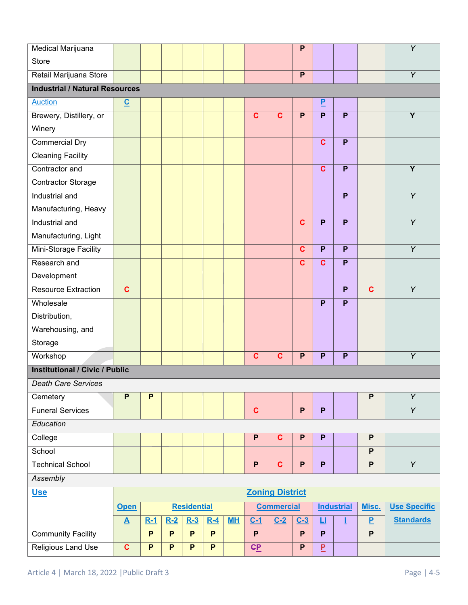| Medical Marijuana                     |                                   |       |       |       |       |    |                         |                   | P              |                |                   |                           | Y                   |
|---------------------------------------|-----------------------------------|-------|-------|-------|-------|----|-------------------------|-------------------|----------------|----------------|-------------------|---------------------------|---------------------|
| <b>Store</b>                          |                                   |       |       |       |       |    |                         |                   |                |                |                   |                           |                     |
| Retail Marijuana Store                |                                   |       |       |       |       |    |                         |                   | P              |                |                   |                           | $\overline{Y}$      |
| <b>Industrial / Natural Resources</b> |                                   |       |       |       |       |    |                         |                   |                |                |                   |                           |                     |
| <b>Auction</b>                        | $\underline{\mathbf{c}}$          |       |       |       |       |    |                         |                   |                | $\overline{P}$ |                   |                           |                     |
| Brewery, Distillery, or               |                                   |       |       |       |       |    | $\mathbf c$             | $\mathbf c$       | P              | P              | P                 |                           | Y                   |
| Winery                                |                                   |       |       |       |       |    |                         |                   |                |                |                   |                           |                     |
| <b>Commercial Dry</b>                 |                                   |       |       |       |       |    |                         |                   |                | $\mathbf{C}$   | $\overline{P}$    |                           |                     |
| <b>Cleaning Facility</b>              |                                   |       |       |       |       |    |                         |                   |                |                |                   |                           |                     |
| Contractor and                        |                                   |       |       |       |       |    |                         |                   |                | $\mathbf c$    | P                 |                           | $\overline{Y}$      |
| <b>Contractor Storage</b>             |                                   |       |       |       |       |    |                         |                   |                |                |                   |                           |                     |
| Industrial and                        |                                   |       |       |       |       |    |                         |                   |                |                | P                 |                           | Y                   |
| Manufacturing, Heavy                  |                                   |       |       |       |       |    |                         |                   |                |                |                   |                           |                     |
| Industrial and                        |                                   |       |       |       |       |    |                         |                   | $\mathbf c$    | $\mathsf{P}$   | P                 |                           | $\overline{Y}$      |
| Manufacturing, Light                  |                                   |       |       |       |       |    |                         |                   |                |                |                   |                           |                     |
| Mini-Storage Facility                 |                                   |       |       |       |       |    |                         |                   | C              | P              | P                 |                           | Y                   |
| Research and                          |                                   |       |       |       |       |    |                         |                   | $\mathbf c$    | $\mathbf c$    | P                 |                           |                     |
| Development                           |                                   |       |       |       |       |    |                         |                   |                |                |                   |                           |                     |
| Resource Extraction                   | $\overline{\mathbf{c}}$           |       |       |       |       |    |                         |                   |                |                | $\overline{P}$    | $\overline{\mathbf{c}}$   | $\overline{Y}$      |
| Wholesale                             |                                   |       |       |       |       |    |                         |                   |                | P              | P                 |                           |                     |
| Distribution,                         |                                   |       |       |       |       |    |                         |                   |                |                |                   |                           |                     |
| Warehousing, and                      |                                   |       |       |       |       |    |                         |                   |                |                |                   |                           |                     |
| Storage                               |                                   |       |       |       |       |    |                         |                   |                |                |                   |                           |                     |
| Workshop                              |                                   |       |       |       |       |    | $\mathbf c$             | $\mathbf{C}$      | $\mathsf{P}$   | P              | P                 |                           | Y                   |
| <b>Institutional / Civic / Public</b> |                                   |       |       |       |       |    |                         |                   |                |                |                   |                           |                     |
| <b>Death Care Services</b>            |                                   |       |       |       |       |    |                         |                   |                |                |                   |                           |                     |
| Cemetery                              | P                                 | P     |       |       |       |    |                         |                   |                |                |                   | $\boldsymbol{\mathsf{P}}$ | $\overline{Y}$      |
| <b>Funeral Services</b>               |                                   |       |       |       |       |    | $\overline{\mathbf{c}}$ |                   | $\overline{P}$ | $\overline{P}$ |                   |                           | $\overline{Y}$      |
| Education                             |                                   |       |       |       |       |    |                         |                   |                |                |                   |                           |                     |
| College                               |                                   |       |       |       |       |    | P                       | $\mathbf c$       | P              | P              |                   | $\mathsf{P}$              |                     |
| School                                |                                   |       |       |       |       |    |                         |                   |                |                |                   | $\mathsf{P}$              |                     |
| <b>Technical School</b>               |                                   |       |       |       |       |    | $\overline{P}$          | $\mathbf{C}$      | P              | P              |                   | $\overline{P}$            | $\overline{Y}$      |
| Assembly                              |                                   |       |       |       |       |    |                         |                   |                |                |                   |                           |                     |
| <u>Use</u>                            | <b>Zoning District</b>            |       |       |       |       |    |                         |                   |                |                |                   |                           |                     |
|                                       | <b>Residential</b><br><b>Open</b> |       |       |       |       |    |                         | <b>Commercial</b> |                |                | <b>Industrial</b> | Misc.                     | <b>Use Specific</b> |
|                                       | $\underline{\mathbf{A}}$          | $R-1$ | $R-2$ | $R-3$ | $R-4$ | ML | $C-1$                   | $C-2$             | $C-3$          | 旦              |                   | P                         | <b>Standards</b>    |
| <b>Community Facility</b>             |                                   | P     | P     | P     | P     |    | P                       |                   | P              | P              |                   | $\mathsf{P}$              |                     |
| <b>Religious Land Use</b>             | $\mathbf c$                       | P     | P     | P     | P     |    | $\mathbf{C}$            |                   | P              | $\overline{P}$ |                   |                           |                     |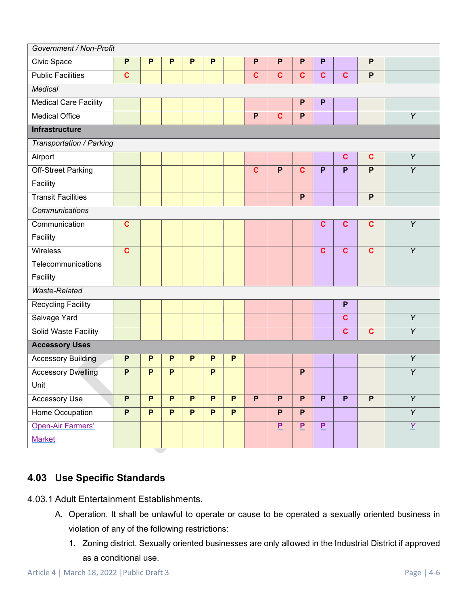| Government / Non-Profit      |                |                |                |                |                |                |                |                         |                         |                         |                |                           |                |
|------------------------------|----------------|----------------|----------------|----------------|----------------|----------------|----------------|-------------------------|-------------------------|-------------------------|----------------|---------------------------|----------------|
| Civic Space                  | P              | $\mathsf{P}$   | P              | P              | P              |                | P              | $\mathsf{P}$            | $\mathsf{P}$            | P                       |                | $\boldsymbol{\mathsf{P}}$ |                |
| <b>Public Facilities</b>     | C              |                |                |                |                |                | $\mathbf c$    | C                       | $\mathbf c$             | $\mathbf c$             | $\mathbf c$    | $\mathsf{P}$              |                |
| <b>Medical</b>               |                |                |                |                |                |                |                |                         |                         |                         |                |                           |                |
| <b>Medical Care Facility</b> |                |                |                |                |                |                |                |                         | $\mathsf{P}$            | P                       |                |                           |                |
| Medical Office               |                |                |                |                |                |                | P              | $\mathbf c$             | P                       |                         |                |                           | $\overline{Y}$ |
| <b>Infrastructure</b>        |                |                |                |                |                |                |                |                         |                         |                         |                |                           |                |
| Transportation / Parking     |                |                |                |                |                |                |                |                         |                         |                         |                |                           |                |
| Airport                      |                |                |                |                |                |                |                |                         |                         |                         | $\mathbf c$    | $\mathbf c$               | $\overline{Y}$ |
| <b>Off-Street Parking</b>    |                |                |                |                |                |                | $\mathbf c$    | P                       | $\mathbf c$             | P                       | P              | P                         | $\overline{Y}$ |
| Facility                     |                |                |                |                |                |                |                |                         |                         |                         |                |                           |                |
| <b>Transit Facilities</b>    |                |                |                |                |                |                |                |                         | P                       |                         |                | P                         |                |
| Communications               |                |                |                |                |                |                |                |                         |                         |                         |                |                           |                |
| Communication                | $\mathbf C$    |                |                |                |                |                |                |                         |                         | $\mathbf c$             | $\mathbf c$    | $\mathbf c$               | $\overline{Y}$ |
| Facility                     |                |                |                |                |                |                |                |                         |                         |                         |                |                           |                |
| Wireless                     | $\mathbf c$    |                |                |                |                |                |                |                         |                         | $\mathbf c$             | $\mathbf c$    | $\mathbf c$               | Y              |
| Telecommunications           |                |                |                |                |                |                |                |                         |                         |                         |                |                           |                |
| Facility                     |                |                |                |                |                |                |                |                         |                         |                         |                |                           |                |
| <b>Waste-Related</b>         |                |                |                |                |                |                |                |                         |                         |                         |                |                           |                |
| <b>Recycling Facility</b>    |                |                |                |                |                |                |                |                         |                         |                         | P              |                           |                |
| Salvage Yard                 |                |                |                |                |                |                |                |                         |                         |                         | $\mathbf c$    |                           | $\overline{Y}$ |
| Solid Waste Facility         |                |                |                |                |                |                |                |                         |                         |                         | $\mathbf c$    | $\mathbf c$               | $\overline{Y}$ |
| <b>Accessory Uses</b>        |                |                |                |                |                |                |                |                         |                         |                         |                |                           |                |
| <b>Accessory Building</b>    | P              | P              | P              | P              | P              | P              |                |                         |                         |                         |                |                           | Y              |
| <b>Accessory Dwelling</b>    | P              | P              | P              |                | P              |                |                |                         | $\mathsf{P}$            |                         |                |                           | $\overline{Y}$ |
| Unit                         |                |                |                |                |                |                |                |                         |                         |                         |                |                           |                |
| Accessory Use                | $\overline{P}$ | $\overline{P}$ | $\overline{P}$ | $\overline{P}$ | $\overline{P}$ | $\overline{P}$ | $\overline{P}$ | $\overline{P}$          | $\overline{P}$          | $\overline{P}$          | $\overline{P}$ | $\overline{P}$            | $\overline{Y}$ |
| Home Occupation              | $\overline{P}$ | $\overline{P}$ | $\overline{P}$ | $\overline{P}$ | P.             | $\overline{P}$ |                | $\overline{P}$          | $\overline{P}$          |                         |                |                           | $\overline{Y}$ |
| Open-Air Farmers'            |                |                |                |                |                |                |                | $\overline{\mathbf{P}}$ | $\overline{\mathbf{P}}$ | $\overline{\mathbf{F}}$ |                |                           | $\overline{X}$ |
| <b>Market</b>                |                |                |                |                |                |                |                |                         |                         |                         |                |                           |                |

# **4.03 Use Specific Standards**

4.03.1 Adult Entertainment Establishments.

- A. Operation. It shall be unlawful to operate or cause to be operated a sexually oriented business in violation of any of the following restrictions:
	- 1. Zoning district. Sexually oriented businesses are only allowed in the Industrial District if approved as a conditional use.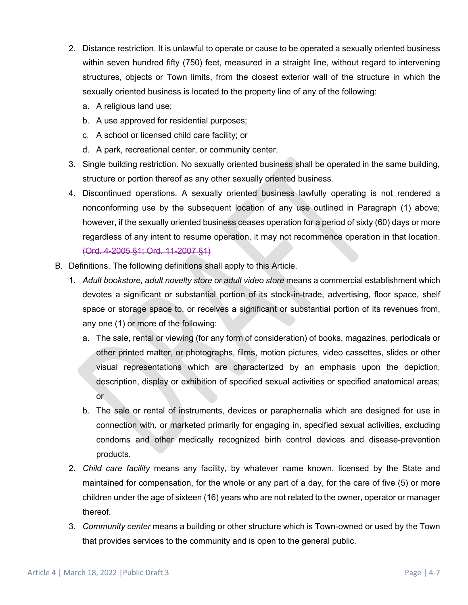- 2. Distance restriction. It is unlawful to operate or cause to be operated a sexually oriented business within seven hundred fifty (750) feet, measured in a straight line, without regard to intervening structures, objects or Town limits, from the closest exterior wall of the structure in which the sexually oriented business is located to the property line of any of the following:
	- a. A religious land use;
	- b. A use approved for residential purposes;
	- c. A school or licensed child care facility; or
	- d. A park, recreational center, or community center.
- 3. Single building restriction. No sexually oriented business shall be operated in the same building, structure or portion thereof as any other sexually oriented business.
- 4. Discontinued operations. A sexually oriented business lawfully operating is not rendered a nonconforming use by the subsequent location of any use outlined in Paragraph (1) above; however, if the sexually oriented business ceases operation for a period of sixty (60) days or more regardless of any intent to resume operation, it may not recommence operation in that location. (Ord. 4-2005 §1; Ord. 11-2007 §1)
- B. Definitions. The following definitions shall apply to this Article.
	- 1. *Adult bookstore, adult novelty store or adult video store* means a commercial establishment which devotes a significant or substantial portion of its stock-in-trade, advertising, floor space, shelf space or storage space to, or receives a significant or substantial portion of its revenues from, any one (1) or more of the following:
		- a. The sale, rental or viewing (for any form of consideration) of books, magazines, periodicals or other printed matter, or photographs, films, motion pictures, video cassettes, slides or other visual representations which are characterized by an emphasis upon the depiction, description, display or exhibition of specified sexual activities or specified anatomical areas; or
		- b. The sale or rental of instruments, devices or paraphernalia which are designed for use in connection with, or marketed primarily for engaging in, specified sexual activities, excluding condoms and other medically recognized birth control devices and disease-prevention products.
	- 2. *Child care facility* means any facility, by whatever name known, licensed by the State and maintained for compensation, for the whole or any part of a day, for the care of five (5) or more children under the age of sixteen (16) years who are not related to the owner, operator or manager thereof.
	- 3. *Community center* means a building or other structure which is Town-owned or used by the Town that provides services to the community and is open to the general public.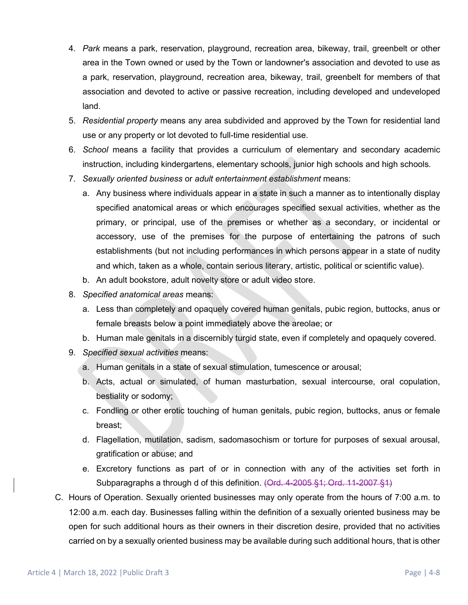- 4. *Park* means a park, reservation, playground, recreation area, bikeway, trail, greenbelt or other area in the Town owned or used by the Town or landowner's association and devoted to use as a park, reservation, playground, recreation area, bikeway, trail, greenbelt for members of that association and devoted to active or passive recreation, including developed and undeveloped land.
- 5. *Residential property* means any area subdivided and approved by the Town for residential land use or any property or lot devoted to full-time residential use.
- 6. *School* means a facility that provides a curriculum of elementary and secondary academic instruction, including kindergartens, elementary schools, junior high schools and high schools.
- 7. *Sexually oriented business* or *adult entertainment establishment* means:
	- a. Any business where individuals appear in a state in such a manner as to intentionally display specified anatomical areas or which encourages specified sexual activities, whether as the primary, or principal, use of the premises or whether as a secondary, or incidental or accessory, use of the premises for the purpose of entertaining the patrons of such establishments (but not including performances in which persons appear in a state of nudity and which, taken as a whole, contain serious literary, artistic, political or scientific value).
	- b. An adult bookstore, adult novelty store or adult video store.
- 8. *Specified anatomical areas* means:
	- a. Less than completely and opaquely covered human genitals, pubic region, buttocks, anus or female breasts below a point immediately above the areolae; or
	- b. Human male genitals in a discernibly turgid state, even if completely and opaquely covered.
- 9. *Specified sexual activities* means:
	- a. Human genitals in a state of sexual stimulation, tumescence or arousal;
	- b. Acts, actual or simulated, of human masturbation, sexual intercourse, oral copulation, bestiality or sodomy;
	- c. Fondling or other erotic touching of human genitals, pubic region, buttocks, anus or female breast;
	- d. Flagellation, mutilation, sadism, sadomasochism or torture for purposes of sexual arousal, gratification or abuse; and
	- e. Excretory functions as part of or in connection with any of the activities set forth in Subparagraphs a through d of this definition. (Ord. 4-2005 §1; Ord. 11-2007 §1)
- C. Hours of Operation. Sexually oriented businesses may only operate from the hours of 7:00 a.m. to 12:00 a.m. each day. Businesses falling within the definition of a sexually oriented business may be open for such additional hours as their owners in their discretion desire, provided that no activities carried on by a sexually oriented business may be available during such additional hours, that is other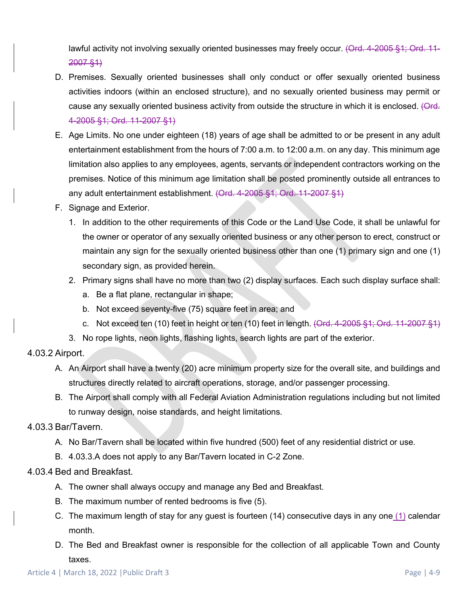lawful activity not involving sexually oriented businesses may freely occur. (Ord. 4-2005 §1; Ord. 11-2007 §1)

- D. Premises. Sexually oriented businesses shall only conduct or offer sexually oriented business activities indoors (within an enclosed structure), and no sexually oriented business may permit or cause any sexually oriented business activity from outside the structure in which it is enclosed. (Ord. 4-2005 §1; Ord. 11-2007 §1)
- E. Age Limits. No one under eighteen (18) years of age shall be admitted to or be present in any adult entertainment establishment from the hours of 7:00 a.m. to 12:00 a.m. on any day. This minimum age limitation also applies to any employees, agents, servants or independent contractors working on the premises. Notice of this minimum age limitation shall be posted prominently outside all entrances to any adult entertainment establishment. (Ord. 4-2005 §1; Ord. 11-2007 §1)
- F. Signage and Exterior.
	- 1. In addition to the other requirements of this Code or the Land Use Code, it shall be unlawful for the owner or operator of any sexually oriented business or any other person to erect, construct or maintain any sign for the sexually oriented business other than one (1) primary sign and one (1) secondary sign, as provided herein.
	- 2. Primary signs shall have no more than two (2) display surfaces. Each such display surface shall:
		- a. Be a flat plane, rectangular in shape;
		- b. Not exceed seventy-five (75) square feet in area; and
		- c. Not exceed ten (10) feet in height or ten (10) feet in length. (Ord. 4-2005 §1; Ord. 11-2007 §1)
	- 3. No rope lights, neon lights, flashing lights, search lights are part of the exterior.

#### 4.03.2 Airport.

- A. An Airport shall have a twenty (20) acre minimum property size for the overall site, and buildings and structures directly related to aircraft operations, storage, and/or passenger processing.
- B. The Airport shall comply with all Federal Aviation Administration regulations including but not limited to runway design, noise standards, and height limitations.

#### 4.03.3 Bar/Tavern.

- A. No Bar/Tavern shall be located within five hundred (500) feet of any residential district or use.
- B. 4.03.3.A does not apply to any Bar/Tavern located in C-2 Zone.

#### 4.03.4 Bed and Breakfast.

- A. The owner shall always occupy and manage any Bed and Breakfast.
- B. The maximum number of rented bedrooms is five (5).
- C. The maximum length of stay for any guest is fourteen (14) consecutive days in any one  $(1)$  calendar month.
- D. The Bed and Breakfast owner is responsible for the collection of all applicable Town and County taxes.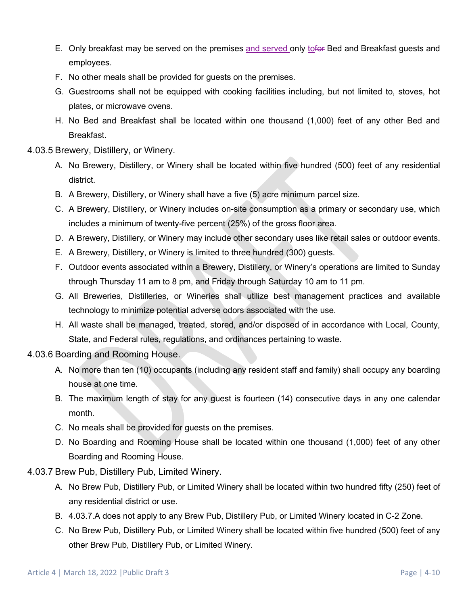- E. Only breakfast may be served on the premises and served only tofor Bed and Breakfast guests and employees.
- F. No other meals shall be provided for guests on the premises.
- G. Guestrooms shall not be equipped with cooking facilities including, but not limited to, stoves, hot plates, or microwave ovens.
- H. No Bed and Breakfast shall be located within one thousand (1,000) feet of any other Bed and Breakfast.
- 4.03.5 Brewery, Distillery, or Winery.
	- A. No Brewery, Distillery, or Winery shall be located within five hundred (500) feet of any residential district.
	- B. A Brewery, Distillery, or Winery shall have a five (5) acre minimum parcel size.
	- C. A Brewery, Distillery, or Winery includes on-site consumption as a primary or secondary use, which includes a minimum of twenty-five percent (25%) of the gross floor area.
	- D. A Brewery, Distillery, or Winery may include other secondary uses like retail sales or outdoor events.
	- E. A Brewery, Distillery, or Winery is limited to three hundred (300) guests.
	- F. Outdoor events associated within a Brewery, Distillery, or Winery's operations are limited to Sunday through Thursday 11 am to 8 pm, and Friday through Saturday 10 am to 11 pm.
	- G. All Breweries, Distilleries, or Wineries shall utilize best management practices and available technology to minimize potential adverse odors associated with the use.
	- H. All waste shall be managed, treated, stored, and/or disposed of in accordance with Local, County, State, and Federal rules, regulations, and ordinances pertaining to waste.
- 4.03.6 Boarding and Rooming House.
	- A. No more than ten (10) occupants (including any resident staff and family) shall occupy any boarding house at one time.
	- B. The maximum length of stay for any guest is fourteen (14) consecutive days in any one calendar month.
	- C. No meals shall be provided for guests on the premises.
	- D. No Boarding and Rooming House shall be located within one thousand (1,000) feet of any other Boarding and Rooming House.
- 4.03.7 Brew Pub, Distillery Pub, Limited Winery.
	- A. No Brew Pub, Distillery Pub, or Limited Winery shall be located within two hundred fifty (250) feet of any residential district or use.
	- B. 4.03.7.A does not apply to any Brew Pub, Distillery Pub, or Limited Winery located in C-2 Zone.
	- C. No Brew Pub, Distillery Pub, or Limited Winery shall be located within five hundred (500) feet of any other Brew Pub, Distillery Pub, or Limited Winery.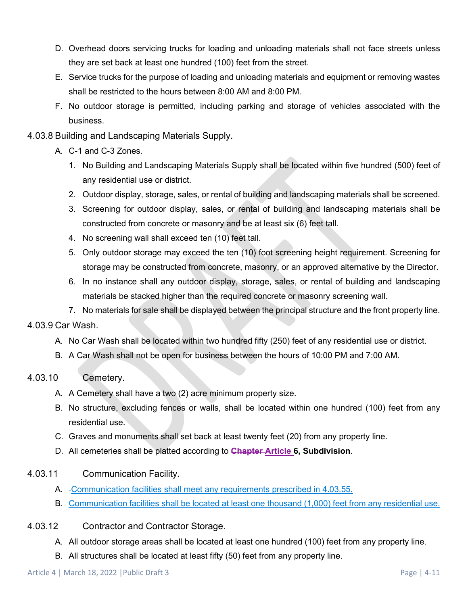- D. Overhead doors servicing trucks for loading and unloading materials shall not face streets unless they are set back at least one hundred (100) feet from the street.
- E. Service trucks for the purpose of loading and unloading materials and equipment or removing wastes shall be restricted to the hours between 8:00 AM and 8:00 PM.
- F. No outdoor storage is permitted, including parking and storage of vehicles associated with the business.
- 4.03.8 Building and Landscaping Materials Supply.
	- A. C-1 and C-3 Zones.
		- 1. No Building and Landscaping Materials Supply shall be located within five hundred (500) feet of any residential use or district.
		- 2. Outdoor display, storage, sales, or rental of building and landscaping materials shall be screened.
		- 3. Screening for outdoor display, sales, or rental of building and landscaping materials shall be constructed from concrete or masonry and be at least six (6) feet tall.
		- 4. No screening wall shall exceed ten (10) feet tall.
		- 5. Only outdoor storage may exceed the ten (10) foot screening height requirement. Screening for storage may be constructed from concrete, masonry, or an approved alternative by the Director.
		- 6. In no instance shall any outdoor display, storage, sales, or rental of building and landscaping materials be stacked higher than the required concrete or masonry screening wall.
		- 7. No materials for sale shall be displayed between the principal structure and the front property line.
- 4.03.9 Car Wash.
	- A. No Car Wash shall be located within two hundred fifty (250) feet of any residential use or district.
	- B. A Car Wash shall not be open for business between the hours of 10:00 PM and 7:00 AM.
- <span id="page-10-0"></span>4.03.10 Cemetery.
	- A. A Cemetery shall have a two (2) acre minimum property size.
	- B. No structure, excluding fences or walls, shall be located within one hundred (100) feet from any residential use.
	- C. Graves and monuments shall set back at least twenty feet (20) from any property line.
	- D. All cemeteries shall be platted according to **Chapter Article 6, Subdivision**.
- 4.03.11 Communication Facility.
	- A. Communication facilities shall meet any requirements prescribed in 4.03.55.
	- B. Communication facilities shall be located at least one thousand (1,000) feet from any residential use.
- 4.03.12 Contractor and Contractor Storage.
	- A. All outdoor storage areas shall be located at least one hundred (100) feet from any property line.
	- B. All structures shall be located at least fifty (50) feet from any property line.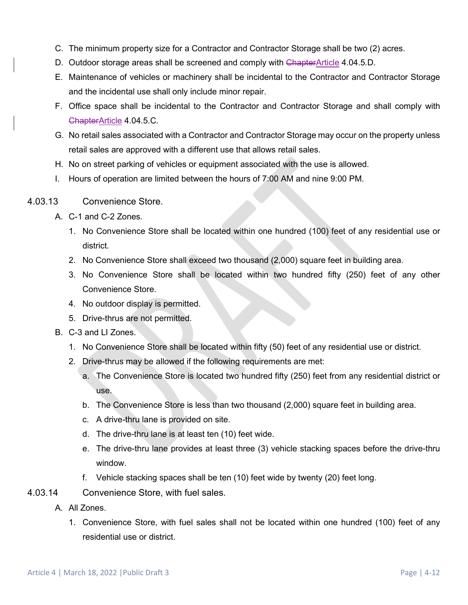- C. The minimum property size for a Contractor and Contractor Storage shall be two (2) acres.
- D. Outdoor storage areas shall be screened and comply with ChapterArticle 4.04.5[.D.](#page-33-0)
- E. Maintenance of vehicles or machinery shall be incidental to the Contractor and Contractor Storage and the incidental use shall only include minor repair.
- F. Office space shall be incidental to the Contractor and Contractor Storage and shall comply with ChapterArticle 4.04.5[.C.](#page-32-0)
- G. No retail sales associated with a Contractor and Contractor Storage may occur on the property unless retail sales are approved with a different use that allows retail sales.
- H. No on street parking of vehicles or equipment associated with the use is allowed.
- I. Hours of operation are limited between the hours of 7:00 AM and nine 9:00 PM.

#### 4.03.13 Convenience Store.

- A. C-1 and C-2 Zones.
	- 1. No Convenience Store shall be located within one hundred (100) feet of any residential use or district.
	- 2. No Convenience Store shall exceed two thousand (2,000) square feet in building area.
	- 3. No Convenience Store shall be located within two hundred fifty (250) feet of any other Convenience Store.
	- 4. No outdoor display is permitted.
	- 5. Drive-thrus are not permitted.
- B. C-3 and LI Zones.
	- 1. No Convenience Store shall be located within fifty (50) feet of any residential use or district.
	- 2. Drive-thrus may be allowed if the following requirements are met:
		- a. The Convenience Store is located two hundred fifty (250) feet from any residential district or use.
		- b. The Convenience Store is less than two thousand (2,000) square feet in building area.
		- c. A drive-thru lane is provided on site.
		- d. The drive-thru lane is at least ten (10) feet wide.
		- e. The drive-thru lane provides at least three (3) vehicle stacking spaces before the drive-thru window.
		- f. Vehicle stacking spaces shall be ten (10) feet wide by twenty (20) feet long.
- 4.03.14 Convenience Store, with fuel sales.
	- A. All Zones.
		- 1. Convenience Store, with fuel sales shall not be located within one hundred (100) feet of any residential use or district.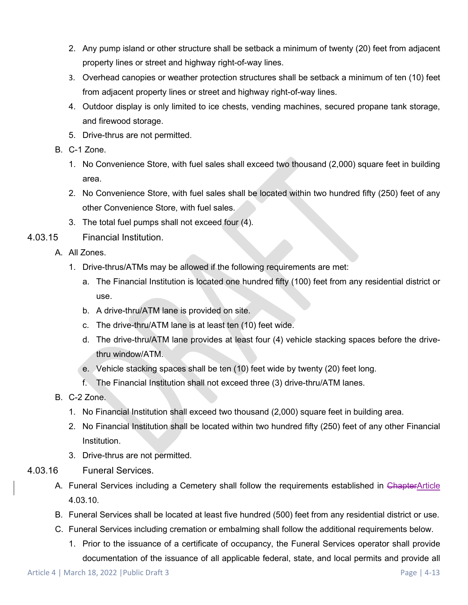- 2. Any pump island or other structure shall be setback a minimum of twenty (20) feet from adjacent property lines or street and highway right-of-way lines.
- 3. Overhead canopies or weather protection structures shall be setback a minimum of ten (10) feet from adjacent property lines or street and highway right-of-way lines.
- 4. Outdoor display is only limited to ice chests, vending machines, secured propane tank storage, and firewood storage.
- 5. Drive-thrus are not permitted.
- B. C-1 Zone.
	- 1. No Convenience Store, with fuel sales shall exceed two thousand (2,000) square feet in building area.
	- 2. No Convenience Store, with fuel sales shall be located within two hundred fifty (250) feet of any other Convenience Store, with fuel sales.
	- 3. The total fuel pumps shall not exceed four (4).
- 4.03.15 Financial Institution.
	- A. All Zones.
		- 1. Drive-thrus/ATMs may be allowed if the following requirements are met:
			- a. The Financial Institution is located one hundred fifty (100) feet from any residential district or use.
			- b. A drive-thru/ATM lane is provided on site.
			- c. The drive-thru/ATM lane is at least ten (10) feet wide.
			- d. The drive-thru/ATM lane provides at least four (4) vehicle stacking spaces before the drivethru window/ATM.
			- e. Vehicle stacking spaces shall be ten (10) feet wide by twenty (20) feet long.
			- f. The Financial Institution shall not exceed three (3) drive-thru/ATM lanes.
	- B. C-2 Zone.
		- 1. No Financial Institution shall exceed two thousand (2,000) square feet in building area.
		- 2. No Financial Institution shall be located within two hundred fifty (250) feet of any other Financial Institution.
		- 3. Drive-thrus are not permitted.
- 4.03.16 Funeral Services.
	- A. Funeral Services including a Cemetery shall follow the requirements established in ChapterArticle [4.03.10.](#page-10-0)
	- B. Funeral Services shall be located at least five hundred (500) feet from any residential district or use.
	- C. Funeral Services including cremation or embalming shall follow the additional requirements below.
		- 1. Prior to the issuance of a certificate of occupancy, the Funeral Services operator shall provide documentation of the issuance of all applicable federal, state, and local permits and provide all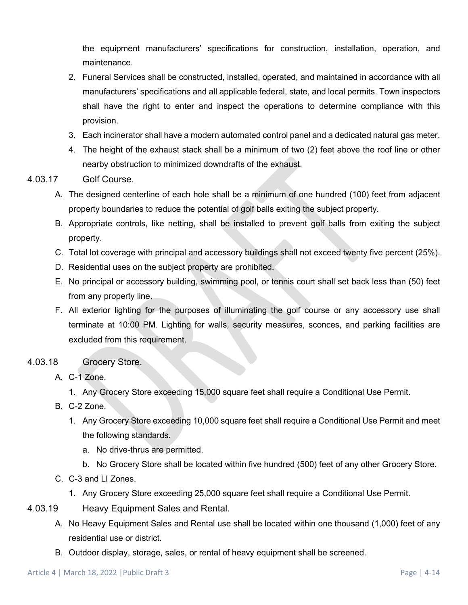the equipment manufacturers' specifications for construction, installation, operation, and maintenance.

- 2. Funeral Services shall be constructed, installed, operated, and maintained in accordance with all manufacturers' specifications and all applicable federal, state, and local permits. Town inspectors shall have the right to enter and inspect the operations to determine compliance with this provision.
- 3. Each incinerator shall have a modern automated control panel and a dedicated natural gas meter.
- 4. The height of the exhaust stack shall be a minimum of two (2) feet above the roof line or other nearby obstruction to minimized downdrafts of the exhaust.
- 4.03.17 Golf Course.
	- A. The designed centerline of each hole shall be a minimum of one hundred (100) feet from adjacent property boundaries to reduce the potential of golf balls exiting the subject property.
	- B. Appropriate controls, like netting, shall be installed to prevent golf balls from exiting the subject property.
	- C. Total lot coverage with principal and accessory buildings shall not exceed twenty five percent (25%).
	- D. Residential uses on the subject property are prohibited.
	- E. No principal or accessory building, swimming pool, or tennis court shall set back less than (50) feet from any property line.
	- F. All exterior lighting for the purposes of illuminating the golf course or any accessory use shall terminate at 10:00 PM. Lighting for walls, security measures, sconces, and parking facilities are excluded from this requirement.

## 4.03.18 Grocery Store.

- A. C-1 Zone.
	- 1. Any Grocery Store exceeding 15,000 square feet shall require a Conditional Use Permit.
- B. C-2 Zone.
	- 1. Any Grocery Store exceeding 10,000 square feet shall require a Conditional Use Permit and meet the following standards.
		- a. No drive-thrus are permitted.
		- b. No Grocery Store shall be located within five hundred (500) feet of any other Grocery Store.
- C. C-3 and LI Zones.
	- 1. Any Grocery Store exceeding 25,000 square feet shall require a Conditional Use Permit.
- 4.03.19 Heavy Equipment Sales and Rental.
	- A. No Heavy Equipment Sales and Rental use shall be located within one thousand (1,000) feet of any residential use or district.
	- B. Outdoor display, storage, sales, or rental of heavy equipment shall be screened.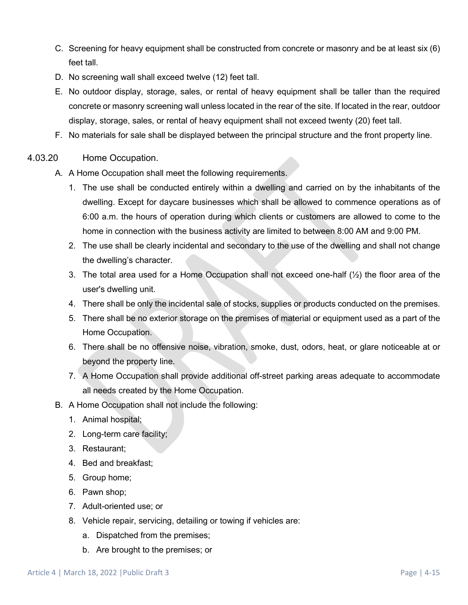- C. Screening for heavy equipment shall be constructed from concrete or masonry and be at least six (6) feet tall.
- D. No screening wall shall exceed twelve (12) feet tall.
- E. No outdoor display, storage, sales, or rental of heavy equipment shall be taller than the required concrete or masonry screening wall unless located in the rear of the site. If located in the rear, outdoor display, storage, sales, or rental of heavy equipment shall not exceed twenty (20) feet tall.
- F. No materials for sale shall be displayed between the principal structure and the front property line.
- 4.03.20 Home Occupation.
	- A. A Home Occupation shall meet the following requirements.
		- 1. The use shall be conducted entirely within a dwelling and carried on by the inhabitants of the dwelling. Except for daycare businesses which shall be allowed to commence operations as of 6:00 a.m. the hours of operation during which clients or customers are allowed to come to the home in connection with the business activity are limited to between 8:00 AM and 9:00 PM.
		- 2. The use shall be clearly incidental and secondary to the use of the dwelling and shall not change the dwelling's character.
		- 3. The total area used for a Home Occupation shall not exceed one-half  $(\frac{1}{2})$  the floor area of the user's dwelling unit.
		- 4. There shall be only the incidental sale of stocks, supplies or products conducted on the premises.
		- 5. There shall be no exterior storage on the premises of material or equipment used as a part of the Home Occupation.
		- 6. There shall be no offensive noise, vibration, smoke, dust, odors, heat, or glare noticeable at or beyond the property line.
		- 7. A Home Occupation shall provide additional off-street parking areas adequate to accommodate all needs created by the Home Occupation.
	- B. A Home Occupation shall not include the following:
		- 1. Animal hospital;
		- 2. Long-term care facility;
		- 3. Restaurant;
		- 4. Bed and breakfast;
		- 5. Group home;
		- 6. Pawn shop;
		- 7. Adult-oriented use; or
		- 8. Vehicle repair, servicing, detailing or towing if vehicles are:
			- a. Dispatched from the premises;
			- b. Are brought to the premises; or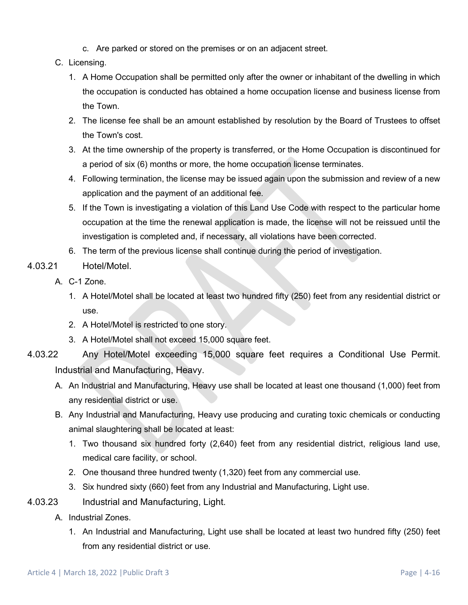- c. Are parked or stored on the premises or on an adjacent street.
- C. Licensing.
	- 1. A Home Occupation shall be permitted only after the owner or inhabitant of the dwelling in which the occupation is conducted has obtained a home occupation license and business license from the Town.
	- 2. The license fee shall be an amount established by resolution by the Board of Trustees to offset the Town's cost.
	- 3. At the time ownership of the property is transferred, or the Home Occupation is discontinued for a period of six (6) months or more, the home occupation license terminates.
	- 4. Following termination, the license may be issued again upon the submission and review of a new application and the payment of an additional fee.
	- 5. If the Town is investigating a violation of this Land Use Code with respect to the particular home occupation at the time the renewal application is made, the license will not be reissued until the investigation is completed and, if necessary, all violations have been corrected.
	- 6. The term of the previous license shall continue during the period of investigation.
- 4.03.21 Hotel/Motel.
	- A. C-1 Zone.
		- 1. A Hotel/Motel shall be located at least two hundred fifty (250) feet from any residential district or use.
		- 2. A Hotel/Motel is restricted to one story.
		- 3. A Hotel/Motel shall not exceed 15,000 square feet.
- 4.03.22 Any Hotel/Motel exceeding 15,000 square feet requires a Conditional Use Permit. Industrial and Manufacturing, Heavy.
	- A. An Industrial and Manufacturing, Heavy use shall be located at least one thousand (1,000) feet from any residential district or use.
	- B. Any Industrial and Manufacturing, Heavy use producing and curating toxic chemicals or conducting animal slaughtering shall be located at least:
		- 1. Two thousand six hundred forty (2,640) feet from any residential district, religious land use, medical care facility, or school.
		- 2. One thousand three hundred twenty (1,320) feet from any commercial use.
		- 3. Six hundred sixty (660) feet from any Industrial and Manufacturing, Light use.
- 4.03.23 Industrial and Manufacturing, Light.
	- A. Industrial Zones.
		- 1. An Industrial and Manufacturing, Light use shall be located at least two hundred fifty (250) feet from any residential district or use.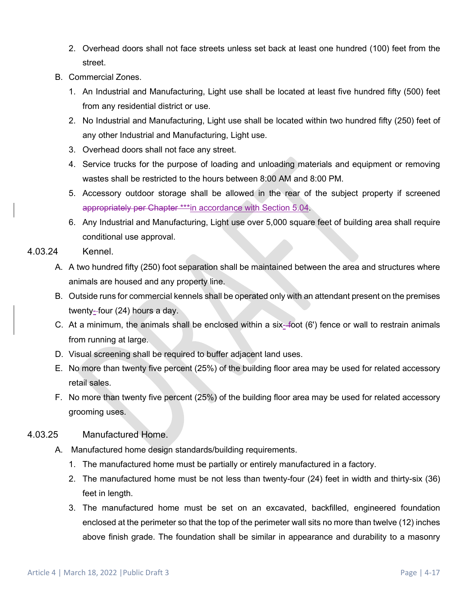- 2. Overhead doors shall not face streets unless set back at least one hundred (100) feet from the street.
- B. Commercial Zones.
	- 1. An Industrial and Manufacturing, Light use shall be located at least five hundred fifty (500) feet from any residential district or use.
	- 2. No Industrial and Manufacturing, Light use shall be located within two hundred fifty (250) feet of any other Industrial and Manufacturing, Light use.
	- 3. Overhead doors shall not face any street.
	- 4. Service trucks for the purpose of loading and unloading materials and equipment or removing wastes shall be restricted to the hours between 8:00 AM and 8:00 PM.
	- 5. Accessory outdoor storage shall be allowed in the rear of the subject property if screened appropriately per Chapter \*\*\* in accordance with Section 5.04.
	- 6. Any Industrial and Manufacturing, Light use over 5,000 square feet of building area shall require conditional use approval.
- 4.03.24 Kennel.
	- A. A two hundred fifty (250) foot separation shall be maintained between the area and structures where animals are housed and any property line.
	- B. Outside runs for commercial kennels shall be operated only with an attendant present on the premises twenty--four (24) hours a day.
	- C. At a minimum, the animals shall be enclosed within a six- foot (6') fence or wall to restrain animals from running at large.
	- D. Visual screening shall be required to buffer adjacent land uses.
	- E. No more than twenty five percent (25%) of the building floor area may be used for related accessory retail sales.
	- F. No more than twenty five percent (25%) of the building floor area may be used for related accessory grooming uses.
- 4.03.25 Manufactured Home.
	- A. Manufactured home design standards/building requirements.
		- 1. The manufactured home must be partially or entirely manufactured in a factory.
		- 2. The manufactured home must be not less than twenty-four (24) feet in width and thirty-six (36) feet in length.
		- 3. The manufactured home must be set on an excavated, backfilled, engineered foundation enclosed at the perimeter so that the top of the perimeter wall sits no more than twelve (12) inches above finish grade. The foundation shall be similar in appearance and durability to a masonry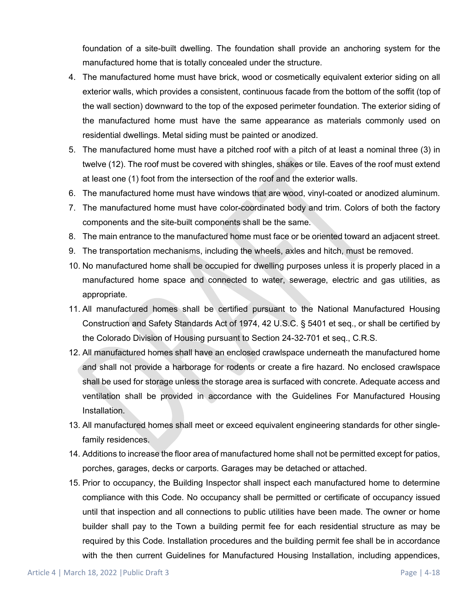foundation of a site-built dwelling. The foundation shall provide an anchoring system for the manufactured home that is totally concealed under the structure.

- 4. The manufactured home must have brick, wood or cosmetically equivalent exterior siding on all exterior walls, which provides a consistent, continuous facade from the bottom of the soffit (top of the wall section) downward to the top of the exposed perimeter foundation. The exterior siding of the manufactured home must have the same appearance as materials commonly used on residential dwellings. Metal siding must be painted or anodized.
- 5. The manufactured home must have a pitched roof with a pitch of at least a nominal three (3) in twelve (12). The roof must be covered with shingles, shakes or tile. Eaves of the roof must extend at least one (1) foot from the intersection of the roof and the exterior walls.
- 6. The manufactured home must have windows that are wood, vinyl-coated or anodized aluminum.
- 7. The manufactured home must have color-coordinated body and trim. Colors of both the factory components and the site-built components shall be the same.
- 8. The main entrance to the manufactured home must face or be oriented toward an adjacent street.
- 9. The transportation mechanisms, including the wheels, axles and hitch, must be removed.
- 10. No manufactured home shall be occupied for dwelling purposes unless it is properly placed in a manufactured home space and connected to water, sewerage, electric and gas utilities, as appropriate.
- 11. All manufactured homes shall be certified pursuant to the National Manufactured Housing Construction and Safety Standards Act of 1974, 42 U.S.C. § 5401 et seq., or shall be certified by the Colorado Division of Housing pursuant to Section 24-32-701 et seq., C.R.S.
- 12. All manufactured homes shall have an enclosed crawlspace underneath the manufactured home and shall not provide a harborage for rodents or create a fire hazard. No enclosed crawlspace shall be used for storage unless the storage area is surfaced with concrete. Adequate access and ventilation shall be provided in accordance with the Guidelines For Manufactured Housing Installation.
- 13. All manufactured homes shall meet or exceed equivalent engineering standards for other singlefamily residences.
- 14. Additions to increase the floor area of manufactured home shall not be permitted except for patios, porches, garages, decks or carports. Garages may be detached or attached.
- 15. Prior to occupancy, the Building Inspector shall inspect each manufactured home to determine compliance with this Code. No occupancy shall be permitted or certificate of occupancy issued until that inspection and all connections to public utilities have been made. The owner or home builder shall pay to the Town a building permit fee for each residential structure as may be required by this Code. Installation procedures and the building permit fee shall be in accordance with the then current Guidelines for Manufactured Housing Installation, including appendices,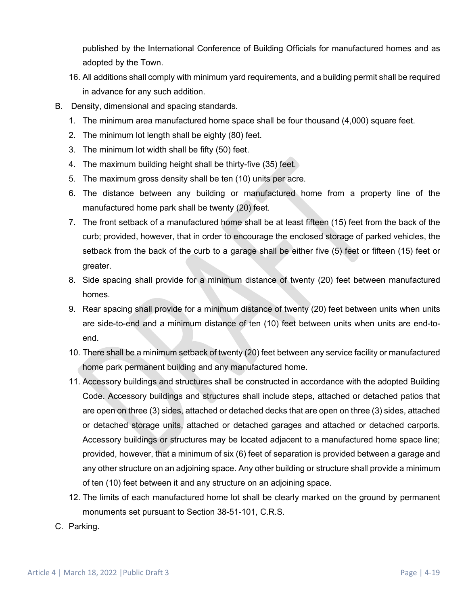published by the International Conference of Building Officials for manufactured homes and as adopted by the Town.

- 16. All additions shall comply with minimum yard requirements, and a building permit shall be required in advance for any such addition.
- B. Density, dimensional and spacing standards.
	- 1. The minimum area manufactured home space shall be four thousand (4,000) square feet.
	- 2. The minimum lot length shall be eighty (80) feet.
	- 3. The minimum lot width shall be fifty (50) feet.
	- 4. The maximum building height shall be thirty-five (35) feet.
	- 5. The maximum gross density shall be ten (10) units per acre.
	- 6. The distance between any building or manufactured home from a property line of the manufactured home park shall be twenty (20) feet.
	- 7. The front setback of a manufactured home shall be at least fifteen (15) feet from the back of the curb; provided, however, that in order to encourage the enclosed storage of parked vehicles, the setback from the back of the curb to a garage shall be either five (5) feet or fifteen (15) feet or greater.
	- 8. Side spacing shall provide for a minimum distance of twenty (20) feet between manufactured homes.
	- 9. Rear spacing shall provide for a minimum distance of twenty (20) feet between units when units are side-to-end and a minimum distance of ten (10) feet between units when units are end-toend.
	- 10. There shall be a minimum setback of twenty (20) feet between any service facility or manufactured home park permanent building and any manufactured home.
	- 11. Accessory buildings and structures shall be constructed in accordance with the adopted Building Code. Accessory buildings and structures shall include steps, attached or detached patios that are open on three (3) sides, attached or detached decks that are open on three (3) sides, attached or detached storage units, attached or detached garages and attached or detached carports. Accessory buildings or structures may be located adjacent to a manufactured home space line; provided, however, that a minimum of six (6) feet of separation is provided between a garage and any other structure on an adjoining space. Any other building or structure shall provide a minimum of ten (10) feet between it and any structure on an adjoining space.
	- 12. The limits of each manufactured home lot shall be clearly marked on the ground by permanent monuments set pursuant to Section 38-51-101, C.R.S.
- C. Parking.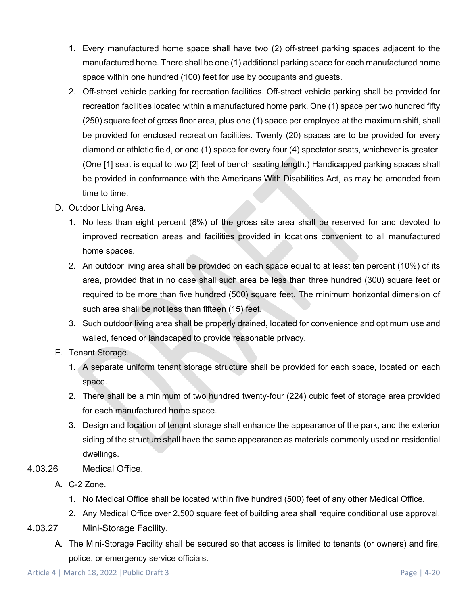- 1. Every manufactured home space shall have two (2) off-street parking spaces adjacent to the manufactured home. There shall be one (1) additional parking space for each manufactured home space within one hundred (100) feet for use by occupants and guests.
- 2. Off-street vehicle parking for recreation facilities. Off-street vehicle parking shall be provided for recreation facilities located within a manufactured home park. One (1) space per two hundred fifty (250) square feet of gross floor area, plus one (1) space per employee at the maximum shift, shall be provided for enclosed recreation facilities. Twenty (20) spaces are to be provided for every diamond or athletic field, or one (1) space for every four (4) spectator seats, whichever is greater. (One [1] seat is equal to two [2] feet of bench seating length.) Handicapped parking spaces shall be provided in conformance with the Americans With Disabilities Act, as may be amended from time to time.
- D. Outdoor Living Area.
	- 1. No less than eight percent (8%) of the gross site area shall be reserved for and devoted to improved recreation areas and facilities provided in locations convenient to all manufactured home spaces.
	- 2. An outdoor living area shall be provided on each space equal to at least ten percent (10%) of its area, provided that in no case shall such area be less than three hundred (300) square feet or required to be more than five hundred (500) square feet. The minimum horizontal dimension of such area shall be not less than fifteen (15) feet.
	- 3. Such outdoor living area shall be properly drained, located for convenience and optimum use and walled, fenced or landscaped to provide reasonable privacy.
- E. Tenant Storage.
	- 1. A separate uniform tenant storage structure shall be provided for each space, located on each space.
	- 2. There shall be a minimum of two hundred twenty-four (224) cubic feet of storage area provided for each manufactured home space.
	- 3. Design and location of tenant storage shall enhance the appearance of the park, and the exterior siding of the structure shall have the same appearance as materials commonly used on residential dwellings.
- 4.03.26 Medical Office.
	- A. C-2 Zone.
		- 1. No Medical Office shall be located within five hundred (500) feet of any other Medical Office.
		- 2. Any Medical Office over 2,500 square feet of building area shall require conditional use approval.
- 4.03.27 Mini-Storage Facility.
	- A. The Mini-Storage Facility shall be secured so that access is limited to tenants (or owners) and fire, police, or emergency service officials.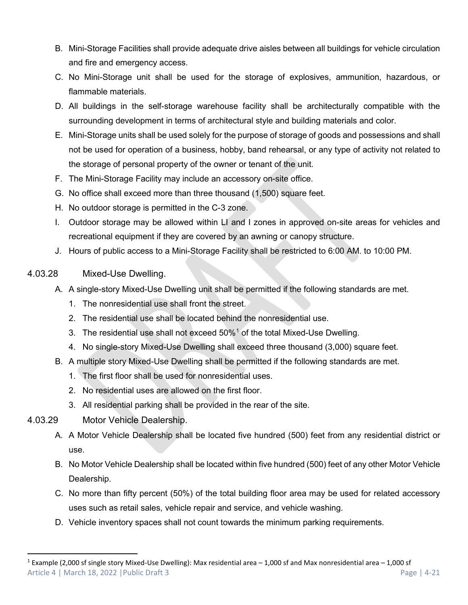- B. Mini-Storage Facilities shall provide adequate drive aisles between all buildings for vehicle circulation and fire and emergency access.
- C. No Mini-Storage unit shall be used for the storage of explosives, ammunition, hazardous, or flammable materials.
- D. All buildings in the self-storage warehouse facility shall be architecturally compatible with the surrounding development in terms of architectural style and building materials and color.
- E. Mini-Storage units shall be used solely for the purpose of storage of goods and possessions and shall not be used for operation of a business, hobby, band rehearsal, or any type of activity not related to the storage of personal property of the owner or tenant of the unit.
- F. The Mini-Storage Facility may include an accessory on-site office.
- G. No office shall exceed more than three thousand (1,500) square feet.
- H. No outdoor storage is permitted in the C-3 zone.
- I. Outdoor storage may be allowed within LI and I zones in approved on-site areas for vehicles and recreational equipment if they are covered by an awning or canopy structure.
- J. Hours of public access to a Mini-Storage Facility shall be restricted to 6:00 AM. to 10:00 PM.

#### 4.03.28 Mixed-Use Dwelling.

- A. A single-story Mixed-Use Dwelling unit shall be permitted if the following standards are met.
	- 1. The nonresidential use shall front the street.
	- 2. The residential use shall be located behind the nonresidential use.
	- 3. The residential use shall not exceed 50%[1](#page-20-0) of the total Mixed-Use Dwelling.
	- 4. No single-story Mixed-Use Dwelling shall exceed three thousand (3,000) square feet.
- B. A multiple story Mixed-Use Dwelling shall be permitted if the following standards are met.
	- 1. The first floor shall be used for nonresidential uses.
	- 2. No residential uses are allowed on the first floor.
	- 3. All residential parking shall be provided in the rear of the site.
- <span id="page-20-0"></span>4.03.29 Motor Vehicle Dealership.
	- A. A Motor Vehicle Dealership shall be located five hundred (500) feet from any residential district or use.
	- B. No Motor Vehicle Dealership shall be located within five hundred (500) feet of any other Motor Vehicle Dealership.
	- C. No more than fifty percent (50%) of the total building floor area may be used for related accessory uses such as retail sales, vehicle repair and service, and vehicle washing.
	- D. Vehicle inventory spaces shall not count towards the minimum parking requirements.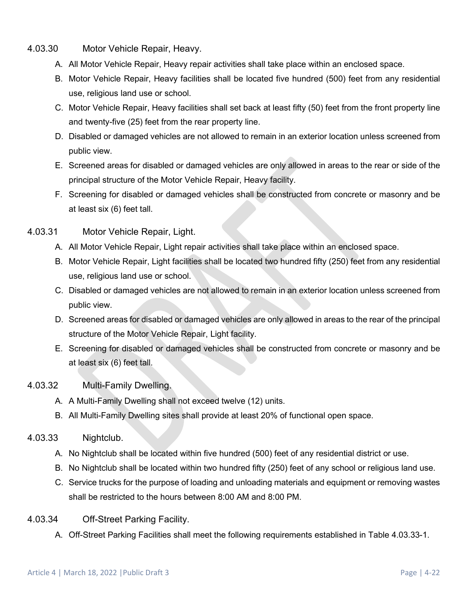- 4.03.30 Motor Vehicle Repair, Heavy.
	- A. All Motor Vehicle Repair, Heavy repair activities shall take place within an enclosed space.
	- B. Motor Vehicle Repair, Heavy facilities shall be located five hundred (500) feet from any residential use, religious land use or school.
	- C. Motor Vehicle Repair, Heavy facilities shall set back at least fifty (50) feet from the front property line and twenty-five (25) feet from the rear property line.
	- D. Disabled or damaged vehicles are not allowed to remain in an exterior location unless screened from public view.
	- E. Screened areas for disabled or damaged vehicles are only allowed in areas to the rear or side of the principal structure of the Motor Vehicle Repair, Heavy facility.
	- F. Screening for disabled or damaged vehicles shall be constructed from concrete or masonry and be at least six (6) feet tall.

### 4.03.31 Motor Vehicle Repair, Light.

- A. All Motor Vehicle Repair, Light repair activities shall take place within an enclosed space.
- B. Motor Vehicle Repair, Light facilities shall be located two hundred fifty (250) feet from any residential use, religious land use or school.
- C. Disabled or damaged vehicles are not allowed to remain in an exterior location unless screened from public view.
- D. Screened areas for disabled or damaged vehicles are only allowed in areas to the rear of the principal structure of the Motor Vehicle Repair, Light facility.
- E. Screening for disabled or damaged vehicles shall be constructed from concrete or masonry and be at least six (6) feet tall.

### 4.03.32 Multi-Family Dwelling.

- A. A Multi-Family Dwelling shall not exceed twelve (12) units.
- B. All Multi-Family Dwelling sites shall provide at least 20% of functional open space.

#### 4.03.33 Nightclub.

- A. No Nightclub shall be located within five hundred (500) feet of any residential district or use.
- B. No Nightclub shall be located within two hundred fifty (250) feet of any school or religious land use.
- C. Service trucks for the purpose of loading and unloading materials and equipment or removing wastes shall be restricted to the hours between 8:00 AM and 8:00 PM.
- 4.03.34 Off-Street Parking Facility.
	- A. Off-Street Parking Facilities shall meet the following requirements established in Table 4.03.33-1.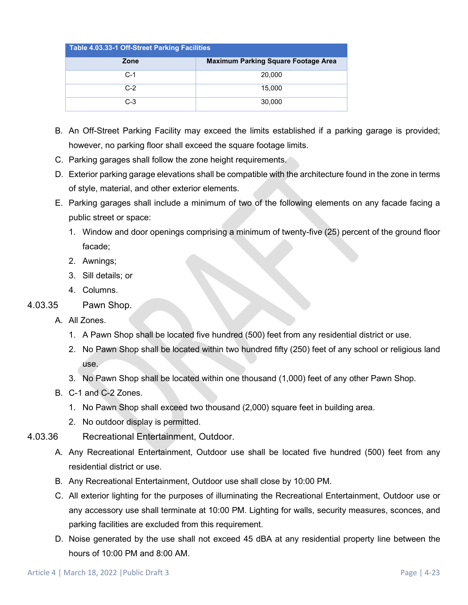| Table 4.03.33-1 Off-Street Parking Facilities |                                            |  |  |  |  |  |  |  |
|-----------------------------------------------|--------------------------------------------|--|--|--|--|--|--|--|
| Zone                                          | <b>Maximum Parking Square Footage Area</b> |  |  |  |  |  |  |  |
| $C - 1$                                       | 20,000                                     |  |  |  |  |  |  |  |
| $C-2$                                         | 15,000                                     |  |  |  |  |  |  |  |
| $C-3$                                         | 30,000                                     |  |  |  |  |  |  |  |

- B. An Off-Street Parking Facility may exceed the limits established if a parking garage is provided; however, no parking floor shall exceed the square footage limits.
- C. Parking garages shall follow the zone height requirements.
- D. Exterior parking garage elevations shall be compatible with the architecture found in the zone in terms of style, material, and other exterior elements.
- E. Parking garages shall include a minimum of two of the following elements on any facade facing a public street or space:
	- 1. Window and door openings comprising a minimum of twenty-five (25) percent of the ground floor facade;
	- 2. Awnings;
	- 3. Sill details; or
	- 4. Columns.
- 4.03.35 Pawn Shop.
	- A. All Zones.
		- 1. A Pawn Shop shall be located five hundred (500) feet from any residential district or use.
		- 2. No Pawn Shop shall be located within two hundred fifty (250) feet of any school or religious land use.
		- 3. No Pawn Shop shall be located within one thousand (1,000) feet of any other Pawn Shop.
	- B. C-1 and C-2 Zones.
		- 1. No Pawn Shop shall exceed two thousand (2,000) square feet in building area.
		- 2. No outdoor display is permitted.
- 4.03.36 Recreational Entertainment, Outdoor.
	- A. Any Recreational Entertainment, Outdoor use shall be located five hundred (500) feet from any residential district or use.
	- B. Any Recreational Entertainment, Outdoor use shall close by 10:00 PM.
	- C. All exterior lighting for the purposes of illuminating the Recreational Entertainment, Outdoor use or any accessory use shall terminate at 10:00 PM. Lighting for walls, security measures, sconces, and parking facilities are excluded from this requirement.
	- D. Noise generated by the use shall not exceed 45 dBA at any residential property line between the hours of 10:00 PM and 8:00 AM.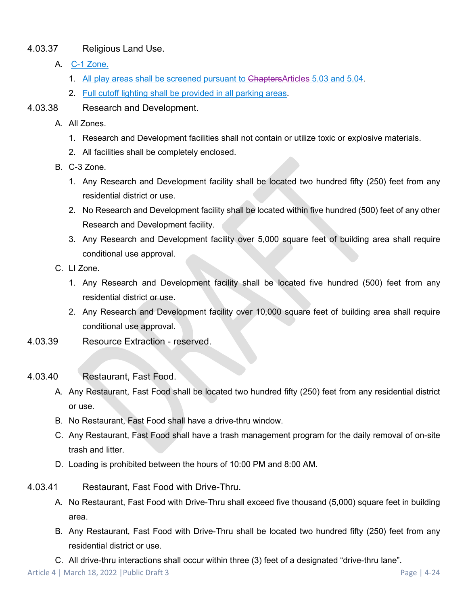## 4.03.37 Religious Land Use.

- A. C-1 Zone.
	- 1. All play areas shall be screened pursuant to ChaptersArticles 5.03 and 5.04.
	- 2. Full cutoff lighting shall be provided in all parking areas.
- 4.03.38 Research and Development.
	- A. All Zones.
		- 1. Research and Development facilities shall not contain or utilize toxic or explosive materials.
		- 2. All facilities shall be completely enclosed.
	- B. C-3 Zone.
		- 1. Any Research and Development facility shall be located two hundred fifty (250) feet from any residential district or use.
		- 2. No Research and Development facility shall be located within five hundred (500) feet of any other Research and Development facility.
		- 3. Any Research and Development facility over 5,000 square feet of building area shall require conditional use approval.
	- C. LI Zone.
		- 1. Any Research and Development facility shall be located five hundred (500) feet from any residential district or use.
		- 2. Any Research and Development facility over 10,000 square feet of building area shall require conditional use approval.
- 4.03.39 Resource Extraction reserved.
- 4.03.40 Restaurant, Fast Food.
	- A. Any Restaurant, Fast Food shall be located two hundred fifty (250) feet from any residential district or use.
	- B. No Restaurant, Fast Food shall have a drive-thru window.
	- C. Any Restaurant, Fast Food shall have a trash management program for the daily removal of on-site trash and litter.
	- D. Loading is prohibited between the hours of 10:00 PM and 8:00 AM.
- 4.03.41 Restaurant, Fast Food with Drive-Thru.
	- A. No Restaurant, Fast Food with Drive-Thru shall exceed five thousand (5,000) square feet in building area.
	- B. Any Restaurant, Fast Food with Drive-Thru shall be located two hundred fifty (250) feet from any residential district or use.
	- C. All drive-thru interactions shall occur within three (3) feet of a designated "drive-thru lane".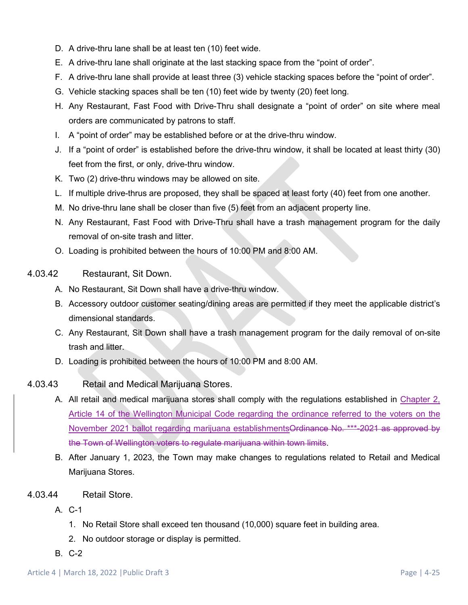- D. A drive-thru lane shall be at least ten (10) feet wide.
- E. A drive-thru lane shall originate at the last stacking space from the "point of order".
- F. A drive-thru lane shall provide at least three (3) vehicle stacking spaces before the "point of order".
- G. Vehicle stacking spaces shall be ten (10) feet wide by twenty (20) feet long.
- H. Any Restaurant, Fast Food with Drive-Thru shall designate a "point of order" on site where meal orders are communicated by patrons to staff.
- I. A "point of order" may be established before or at the drive-thru window.
- J. If a "point of order" is established before the drive-thru window, it shall be located at least thirty (30) feet from the first, or only, drive-thru window.
- K. Two (2) drive-thru windows may be allowed on site.
- L. If multiple drive-thrus are proposed, they shall be spaced at least forty (40) feet from one another.
- M. No drive-thru lane shall be closer than five (5) feet from an adjacent property line.
- N. Any Restaurant, Fast Food with Drive-Thru shall have a trash management program for the daily removal of on-site trash and litter.
- O. Loading is prohibited between the hours of 10:00 PM and 8:00 AM.
- 4.03.42 Restaurant, Sit Down.
	- A. No Restaurant, Sit Down shall have a drive-thru window.
	- B. Accessory outdoor customer seating/dining areas are permitted if they meet the applicable district's dimensional standards.
	- C. Any Restaurant, Sit Down shall have a trash management program for the daily removal of on-site trash and litter.
	- D. Loading is prohibited between the hours of 10:00 PM and 8:00 AM.
- 4.03.43 Retail and Medical Marijuana Stores.
	- A. All retail and medical marijuana stores shall comply with the regulations established in Chapter 2, Article 14 of the Wellington Municipal Code regarding the ordinance referred to the voters on the November 2021 ballot regarding marijuana establishmentsOrdinance No. \*\*\*-2021 as approved by the Town of Wellington voters to regulate marijuana within town limits.
	- B. After January 1, 2023, the Town may make changes to regulations related to Retail and Medical Marijuana Stores.
- 4.03.44 Retail Store.
	- A. C-1
		- 1. No Retail Store shall exceed ten thousand (10,000) square feet in building area.
		- 2. No outdoor storage or display is permitted.
	- B. C-2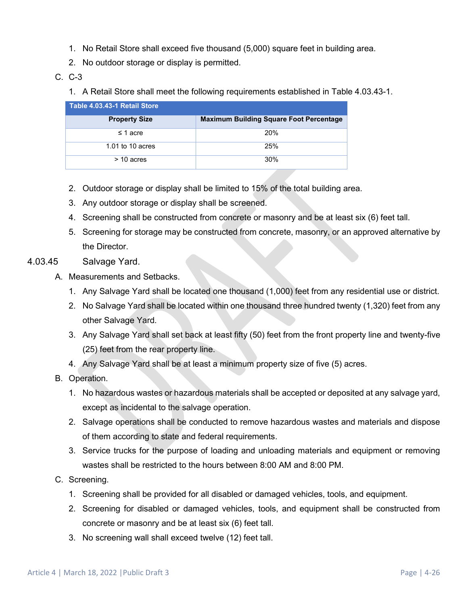- 1. No Retail Store shall exceed five thousand (5,000) square feet in building area.
- 2. No outdoor storage or display is permitted.
- C. C-3
	- 1. A Retail Store shall meet the following requirements established in Table 4.03.43-1.

| Table 4.03.43-1 Retail Store |                                                |  |  |  |  |  |  |  |
|------------------------------|------------------------------------------------|--|--|--|--|--|--|--|
| <b>Property Size</b>         | <b>Maximum Building Square Foot Percentage</b> |  |  |  |  |  |  |  |
| $\leq$ 1 acre                | 20%                                            |  |  |  |  |  |  |  |
| 1.01 to 10 acres             | 25%                                            |  |  |  |  |  |  |  |
| $>$ 10 acres                 | 30%                                            |  |  |  |  |  |  |  |

- 2. Outdoor storage or display shall be limited to 15% of the total building area.
- 3. Any outdoor storage or display shall be screened.
- 4. Screening shall be constructed from concrete or masonry and be at least six (6) feet tall.
- 5. Screening for storage may be constructed from concrete, masonry, or an approved alternative by the Director.
- 4.03.45 Salvage Yard.
	- A. Measurements and Setbacks.
		- 1. Any Salvage Yard shall be located one thousand (1,000) feet from any residential use or district.
		- 2. No Salvage Yard shall be located within one thousand three hundred twenty (1,320) feet from any other Salvage Yard.
		- 3. Any Salvage Yard shall set back at least fifty (50) feet from the front property line and twenty-five (25) feet from the rear property line.
		- 4. Any Salvage Yard shall be at least a minimum property size of five (5) acres.
	- B. Operation.
		- 1. No hazardous wastes or hazardous materials shall be accepted or deposited at any salvage yard, except as incidental to the salvage operation.
		- 2. Salvage operations shall be conducted to remove hazardous wastes and materials and dispose of them according to state and federal requirements.
		- 3. Service trucks for the purpose of loading and unloading materials and equipment or removing wastes shall be restricted to the hours between 8:00 AM and 8:00 PM.
	- C. Screening.
		- 1. Screening shall be provided for all disabled or damaged vehicles, tools, and equipment.
		- 2. Screening for disabled or damaged vehicles, tools, and equipment shall be constructed from concrete or masonry and be at least six (6) feet tall.
		- 3. No screening wall shall exceed twelve (12) feet tall.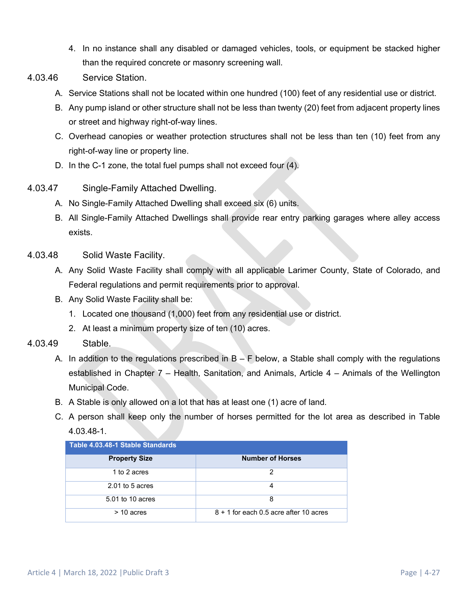- 4. In no instance shall any disabled or damaged vehicles, tools, or equipment be stacked higher than the required concrete or masonry screening wall.
- 4.03.46 Service Station.
	- A. Service Stations shall not be located within one hundred (100) feet of any residential use or district.
	- B. Any pump island or other structure shall not be less than twenty (20) feet from adjacent property lines or street and highway right-of-way lines.
	- C. Overhead canopies or weather protection structures shall not be less than ten (10) feet from any right-of-way line or property line.
	- D. In the C-1 zone, the total fuel pumps shall not exceed four (4).
- 4.03.47 Single-Family Attached Dwelling.
	- A. No Single-Family Attached Dwelling shall exceed six (6) units.
	- B. All Single-Family Attached Dwellings shall provide rear entry parking garages where alley access exists.
- 4.03.48 Solid Waste Facility.
	- A. Any Solid Waste Facility shall comply with all applicable Larimer County, State of Colorado, and Federal regulations and permit requirements prior to approval.
	- B. Any Solid Waste Facility shall be:
		- 1. Located one thousand (1,000) feet from any residential use or district.
		- 2. At least a minimum property size of ten (10) acres.
- 4.03.49 Stable.
	- A. In addition to the regulations prescribed in  $B F$  below, a Stable shall comply with the regulations established in Chapter 7 – Health, Sanitation, and Animals, Article 4 – Animals of the Wellington Municipal Code.
	- B. A Stable is only allowed on a lot that has at least one (1) acre of land.
	- C. A person shall keep only the number of horses permitted for the lot area as described in Table 4.03.48-1.

| Table 4.03.48-1 Stable Standards |                                          |  |  |  |  |  |  |  |  |
|----------------------------------|------------------------------------------|--|--|--|--|--|--|--|--|
| <b>Property Size</b>             | <b>Number of Horses</b>                  |  |  |  |  |  |  |  |  |
| 1 to 2 acres                     | 2                                        |  |  |  |  |  |  |  |  |
| $2.01$ to 5 acres                | 4                                        |  |  |  |  |  |  |  |  |
| 5.01 to 10 acres                 | 8                                        |  |  |  |  |  |  |  |  |
| $>$ 10 acres                     | $8 + 1$ for each 0.5 acre after 10 acres |  |  |  |  |  |  |  |  |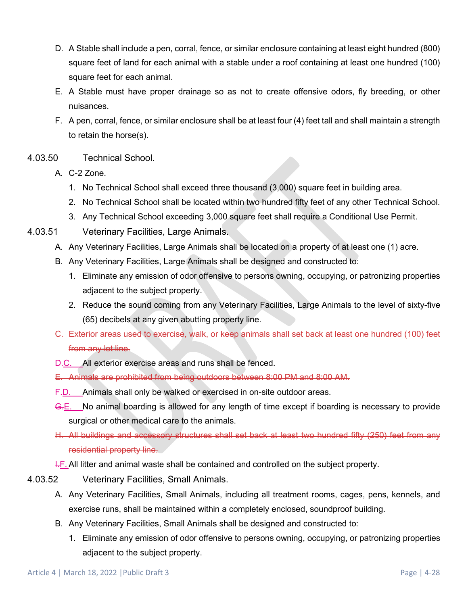- D. A Stable shall include a pen, corral, fence, or similar enclosure containing at least eight hundred (800) square feet of land for each animal with a stable under a roof containing at least one hundred (100) square feet for each animal.
- E. A Stable must have proper drainage so as not to create offensive odors, fly breeding, or other nuisances.
- F. A pen, corral, fence, or similar enclosure shall be at least four (4) feet tall and shall maintain a strength to retain the horse(s).
- 4.03.50 Technical School.
	- A. C-2 Zone.
		- 1. No Technical School shall exceed three thousand (3,000) square feet in building area.
		- 2. No Technical School shall be located within two hundred fifty feet of any other Technical School.
		- 3. Any Technical School exceeding 3,000 square feet shall require a Conditional Use Permit.
- 4.03.51 Veterinary Facilities, Large Animals.
	- A. Any Veterinary Facilities, Large Animals shall be located on a property of at least one (1) acre.
	- B. Any Veterinary Facilities, Large Animals shall be designed and constructed to:
		- 1. Eliminate any emission of odor offensive to persons owning, occupying, or patronizing properties adjacent to the subject property.
		- 2. Reduce the sound coming from any Veterinary Facilities, Large Animals to the level of sixty-five (65) decibels at any given abutting property line.
	- C. Exterior areas used to exercise, walk, or keep animals shall set back at least one hundred (100) feet from any lot line.
	- D.C. All exterior exercise areas and runs shall be fenced.
	- E. Animals are prohibited from being outdoors between 8:00 PM and 8:00 AM.
	- F.D. Animals shall only be walked or exercised in on-site outdoor areas.
	- G.E. No animal boarding is allowed for any length of time except if boarding is necessary to provide surgical or other medical care to the animals.
	- H. All buildings and accessory structures shall set back at least two hundred fifty (250) feet from any residential property line.
	- $E_{\text{L}}$ . All litter and animal waste shall be contained and controlled on the subject property.
- 4.03.52 Veterinary Facilities, Small Animals.
	- A. Any Veterinary Facilities, Small Animals, including all treatment rooms, cages, pens, kennels, and exercise runs, shall be maintained within a completely enclosed, soundproof building.
	- B. Any Veterinary Facilities, Small Animals shall be designed and constructed to:
		- 1. Eliminate any emission of odor offensive to persons owning, occupying, or patronizing properties adjacent to the subject property.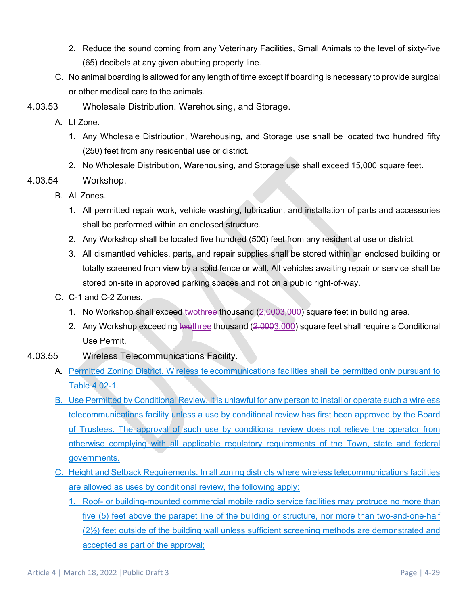- 2. Reduce the sound coming from any Veterinary Facilities, Small Animals to the level of sixty-five (65) decibels at any given abutting property line.
- C. No animal boarding is allowed for any length of time except if boarding is necessary to provide surgical or other medical care to the animals.
- 4.03.53 Wholesale Distribution, Warehousing, and Storage.
	- A. LI Zone.
		- 1. Any Wholesale Distribution, Warehousing, and Storage use shall be located two hundred fifty (250) feet from any residential use or district.
		- 2. No Wholesale Distribution, Warehousing, and Storage use shall exceed 15,000 square feet.

## 4.03.54 Workshop.

- B. All Zones.
	- 1. All permitted repair work, vehicle washing, lubrication, and installation of parts and accessories shall be performed within an enclosed structure.
	- 2. Any Workshop shall be located five hundred (500) feet from any residential use or district.
	- 3. All dismantled vehicles, parts, and repair supplies shall be stored within an enclosed building or totally screened from view by a solid fence or wall. All vehicles awaiting repair or service shall be stored on-site in approved parking spaces and not on a public right-of-way.
- C. C-1 and C-2 Zones.
	- 1. No Workshop shall exceed twothree thousand (2,0003,000) square feet in building area.
	- 2. Any Workshop exceeding two three thousand (2,0003,000) square feet shall require a Conditional Use Permit.
- 4.03.55 Wireless Telecommunications Facility.
	- A. Permitted Zoning District. Wireless telecommunications facilities shall be permitted only pursuant to Table 4.02-1.
	- B. Use Permitted by Conditional Review. It is unlawful for any person to install or operate such a wireless telecommunications facility unless a use by conditional review has first been approved by the Board of Trustees. The approval of such use by conditional review does not relieve the operator from otherwise complying with all applicable regulatory requirements of the Town, state and federal governments.
	- C. Height and Setback Requirements. In all zoning districts where wireless telecommunications facilities are allowed as uses by conditional review, the following apply:
		- 1. Roof- or building-mounted commercial mobile radio service facilities may protrude no more than five (5) feet above the parapet line of the building or structure, nor more than two-and-one-half (2½) feet outside of the building wall unless sufficient screening methods are demonstrated and accepted as part of the approval;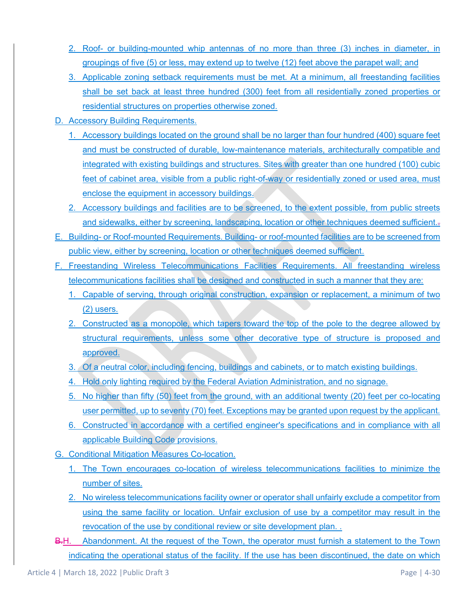- 2. Roof- or building-mounted whip antennas of no more than three (3) inches in diameter, in groupings of five (5) or less, may extend up to twelve (12) feet above the parapet wall; and
- 3. Applicable zoning setback requirements must be met. At a minimum, all freestanding facilities shall be set back at least three hundred (300) feet from all residentially zoned properties or residential structures on properties otherwise zoned.
- D. Accessory Building Requirements.
	- 1. Accessory buildings located on the ground shall be no larger than four hundred (400) square feet and must be constructed of durable, low-maintenance materials, architecturally compatible and integrated with existing buildings and structures. Sites with greater than one hundred (100) cubic feet of cabinet area, visible from a public right-of-way or residentially zoned or used area, must enclose the equipment in accessory buildings.
	- 2. Accessory buildings and facilities are to be screened, to the extent possible, from public streets and sidewalks, either by screening, landscaping, location or other techniques deemed sufficient...
- E. Building- or Roof-mounted Requirements. Building- or roof-mounted facilities are to be screened from public view, either by screening, location or other techniques deemed sufficient.
- F. Freestanding Wireless Telecommunications Facilities Requirements. All freestanding wireless telecommunications facilities shall be designed and constructed in such a manner that they are:
	- 1. Capable of serving, through original construction, expansion or replacement, a minimum of two (2) users.
	- 2. Constructed as a monopole, which tapers toward the top of the pole to the degree allowed by structural requirements, unless some other decorative type of structure is proposed and approved.
	- 3. Of a neutral color, including fencing, buildings and cabinets, or to match existing buildings.
	- 4. Hold only lighting required by the Federal Aviation Administration, and no signage.
	- 5. No higher than fifty (50) feet from the ground, with an additional twenty (20) feet per co-locating user permitted, up to seventy (70) feet. Exceptions may be granted upon request by the applicant.
	- 6. Constructed in accordance with a certified engineer's specifications and in compliance with all applicable Building Code provisions.
- G. Conditional Mitigation Measures Co-location.
	- 1. The Town encourages co-location of wireless telecommunications facilities to minimize the number of sites.
	- 2. No wireless telecommunications facility owner or operator shall unfairly exclude a competitor from using the same facility or location. Unfair exclusion of use by a competitor may result in the revocation of the use by conditional review or site development plan. .
- B.H. Abandonment. At the request of the Town, the operator must furnish a statement to the Town indicating the operational status of the facility. If the use has been discontinued, the date on which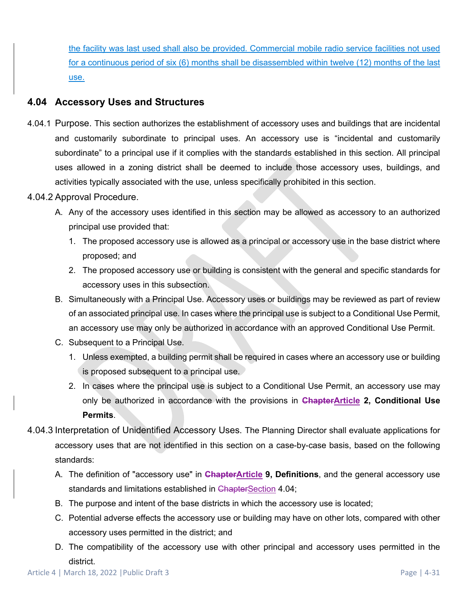the facility was last used shall also be provided. Commercial mobile radio service facilities not used for a continuous period of six (6) months shall be disassembled within twelve (12) months of the last use.

## <span id="page-30-0"></span>**4.04 Accessory Uses and Structures**

- 4.04.1 Purpose. This section authorizes the establishment of accessory uses and buildings that are incidental and customarily subordinate to principal uses. An accessory use is "incidental and customarily subordinate" to a principal use if it complies with the standards established in this section. All principal uses allowed in a zoning district shall be deemed to include those accessory uses, buildings, and activities typically associated with the use, unless specifically prohibited in this section.
- 4.04.2 Approval Procedure.
	- A. Any of the accessory uses identified in this section may be allowed as accessory to an authorized principal use provided that:
		- 1. The proposed accessory use is allowed as a principal or accessory use in the base district where proposed; and
		- 2. The proposed accessory use or building is consistent with the general and specific standards for accessory uses in this subsection.
	- B. Simultaneously with a Principal Use. Accessory uses or buildings may be reviewed as part of review of an associated principal use. In cases where the principal use is subject to a Conditional Use Permit, an accessory use may only be authorized in accordance with an approved Conditional Use Permit.
	- C. Subsequent to a Principal Use.
		- 1. Unless exempted, a building permit shall be required in cases where an accessory use or building is proposed subsequent to a principal use.
		- 2. In cases where the principal use is subject to a Conditional Use Permit, an accessory use may only be authorized in accordance with the provisions in **ChapterArticle 2, Conditional Use Permits**.
- 4.04.3 Interpretation of Unidentified Accessory Uses. The Planning Director shall evaluate applications for accessory uses that are not identified in this section on a case-by-case basis, based on the following standards:
	- A. The definition of "accessory use" in **ChapterArticle 9, Definitions**, and the general accessory use standards and limitations established in ChapterSection [4.04;](#page-30-0)
	- B. The purpose and intent of the base districts in which the accessory use is located;
	- C. Potential adverse effects the accessory use or building may have on other lots, compared with other accessory uses permitted in the district; and
	- D. The compatibility of the accessory use with other principal and accessory uses permitted in the district.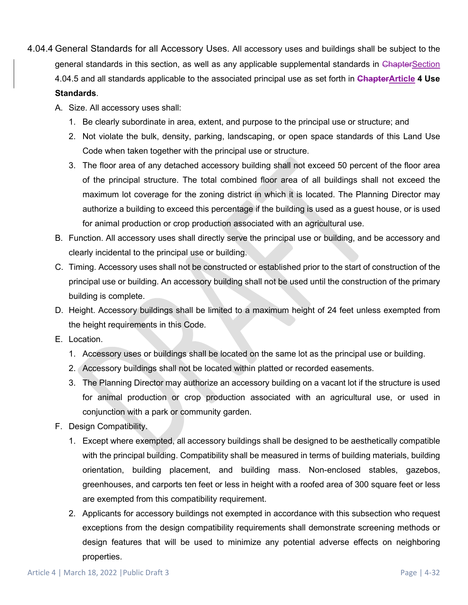4.04.4 General Standards for all Accessory Uses. All accessory uses and buildings shall be subject to the general standards in this section, as well as any applicable supplemental standards in ChapterSection [4.04.5](#page-32-1) and all standards applicable to the associated principal use as set forth in **ChapterArticle 4 Use** 

#### **Standards**.

- A. Size. All accessory uses shall:
	- 1. Be clearly subordinate in area, extent, and purpose to the principal use or structure; and
	- 2. Not violate the bulk, density, parking, landscaping, or open space standards of this Land Use Code when taken together with the principal use or structure.
	- 3. The floor area of any detached accessory building shall not exceed 50 percent of the floor area of the principal structure. The total combined floor area of all buildings shall not exceed the maximum lot coverage for the zoning district in which it is located. The Planning Director may authorize a building to exceed this percentage if the building is used as a guest house, or is used for animal production or crop production associated with an agricultural use.
- B. Function. All accessory uses shall directly serve the principal use or building, and be accessory and clearly incidental to the principal use or building.
- C. Timing. Accessory uses shall not be constructed or established prior to the start of construction of the principal use or building. An accessory building shall not be used until the construction of the primary building is complete.
- D. Height. Accessory buildings shall be limited to a maximum height of 24 feet unless exempted from the height requirements in this Code.
- E. Location.
	- 1. Accessory uses or buildings shall be located on the same lot as the principal use or building.
	- 2. Accessory buildings shall not be located within platted or recorded easements.
	- 3. The Planning Director may authorize an accessory building on a vacant lot if the structure is used for animal production or crop production associated with an agricultural use, or used in conjunction with a park or community garden.
- F. Design Compatibility.
	- 1. Except where exempted, all accessory buildings shall be designed to be aesthetically compatible with the principal building. Compatibility shall be measured in terms of building materials, building orientation, building placement, and building mass. Non-enclosed stables, gazebos, greenhouses, and carports ten feet or less in height with a roofed area of 300 square feet or less are exempted from this compatibility requirement.
	- 2. Applicants for accessory buildings not exempted in accordance with this subsection who request exceptions from the design compatibility requirements shall demonstrate screening methods or design features that will be used to minimize any potential adverse effects on neighboring properties.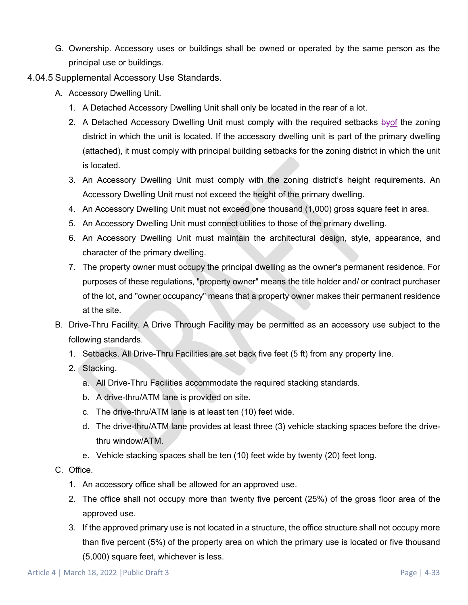- G. Ownership. Accessory uses or buildings shall be owned or operated by the same person as the principal use or buildings.
- <span id="page-32-1"></span><span id="page-32-0"></span>4.04.5 Supplemental Accessory Use Standards.
	- A. Accessory Dwelling Unit.
		- 1. A Detached Accessory Dwelling Unit shall only be located in the rear of a lot.
		- 2. A Detached Accessory Dwelling Unit must comply with the required setbacks byof the zoning district in which the unit is located. If the accessory dwelling unit is part of the primary dwelling (attached), it must comply with principal building setbacks for the zoning district in which the unit is located.
		- 3. An Accessory Dwelling Unit must comply with the zoning district's height requirements. An Accessory Dwelling Unit must not exceed the height of the primary dwelling.
		- 4. An Accessory Dwelling Unit must not exceed one thousand (1,000) gross square feet in area.
		- 5. An Accessory Dwelling Unit must connect utilities to those of the primary dwelling.
		- 6. An Accessory Dwelling Unit must maintain the architectural design, style, appearance, and character of the primary dwelling.
		- 7. The property owner must occupy the principal dwelling as the owner's permanent residence. For purposes of these regulations, "property owner" means the title holder and/ or contract purchaser of the lot, and "owner occupancy" means that a property owner makes their permanent residence at the site.
	- B. Drive-Thru Facility. A Drive Through Facility may be permitted as an accessory use subject to the following standards.
		- 1. Setbacks. All Drive-Thru Facilities are set back five feet (5 ft) from any property line.
		- 2. Stacking.
			- a. All Drive-Thru Facilities accommodate the required stacking standards.
			- b. A drive-thru/ATM lane is provided on site.
			- c. The drive-thru/ATM lane is at least ten (10) feet wide.
			- d. The drive-thru/ATM lane provides at least three (3) vehicle stacking spaces before the drivethru window/ATM.
			- e. Vehicle stacking spaces shall be ten (10) feet wide by twenty (20) feet long.
	- C. Office.
		- 1. An accessory office shall be allowed for an approved use.
		- 2. The office shall not occupy more than twenty five percent (25%) of the gross floor area of the approved use.
		- 3. If the approved primary use is not located in a structure, the office structure shall not occupy more than five percent (5%) of the property area on which the primary use is located or five thousand (5,000) square feet, whichever is less.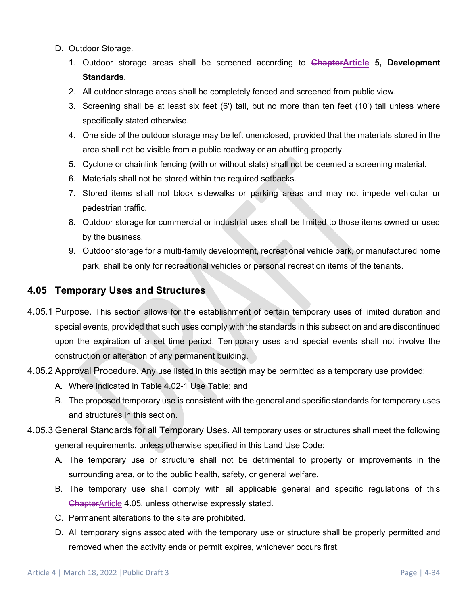- <span id="page-33-0"></span>D. Outdoor Storage.
	- 1. Outdoor storage areas shall be screened according to **ChapterArticle 5, Development Standards**.
	- 2. All outdoor storage areas shall be completely fenced and screened from public view.
	- 3. Screening shall be at least six feet (6') tall, but no more than ten feet (10') tall unless where specifically stated otherwise.
	- 4. One side of the outdoor storage may be left unenclosed, provided that the materials stored in the area shall not be visible from a public roadway or an abutting property.
	- 5. Cyclone or chainlink fencing (with or without slats) shall not be deemed a screening material.
	- 6. Materials shall not be stored within the required setbacks.
	- 7. Stored items shall not block sidewalks or parking areas and may not impede vehicular or pedestrian traffic.
	- 8. Outdoor storage for commercial or industrial uses shall be limited to those items owned or used by the business.
	- 9. Outdoor storage for a multi-family development, recreational vehicle park, or manufactured home park, shall be only for recreational vehicles or personal recreation items of the tenants.

### <span id="page-33-1"></span>**4.05 Temporary Uses and Structures**

- 4.05.1 Purpose. This section allows for the establishment of certain temporary uses of limited duration and special events, provided that such uses comply with the standards in this subsection and are discontinued upon the expiration of a set time period. Temporary uses and special events shall not involve the construction or alteration of any permanent building.
- 4.05.2 Approval Procedure. Any use listed in this section may be permitted as a temporary use provided:
	- A. Where indicated in Table 4.02-1 Use Table; and
	- B. The proposed temporary use is consistent with the general and specific standards for temporary uses and structures in this section.
- 4.05.3 General Standards for all Temporary Uses. All temporary uses or structures shall meet the following general requirements, unless otherwise specified in this Land Use Code:
	- A. The temporary use or structure shall not be detrimental to property or improvements in the surrounding area, or to the public health, safety, or general welfare.
	- B. The temporary use shall comply with all applicable general and specific regulations of this ChapterArticle [4.05,](#page-33-1) unless otherwise expressly stated.
	- C. Permanent alterations to the site are prohibited.
	- D. All temporary signs associated with the temporary use or structure shall be properly permitted and removed when the activity ends or permit expires, whichever occurs first.